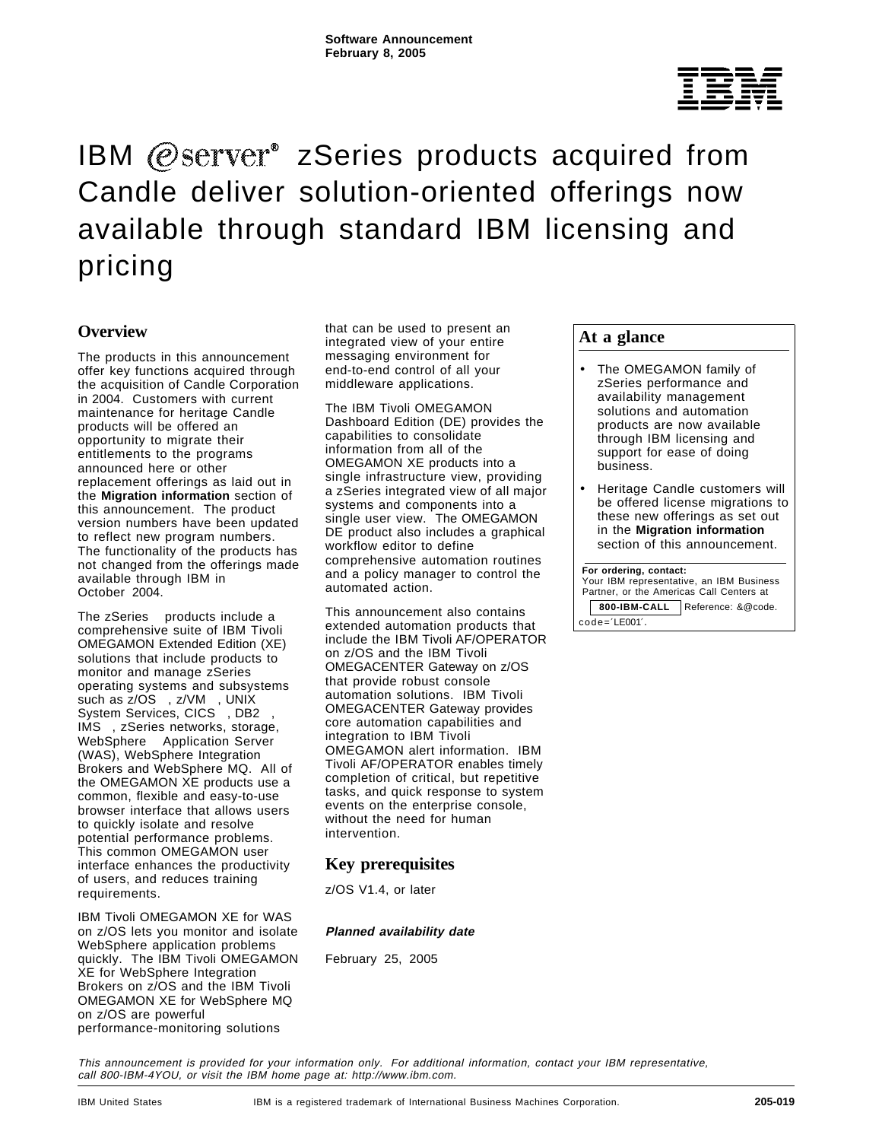# $^{\circledR}$

## IBM  $@$ s $e$ rv $e^*$  zSeries products acquired from Candle deliver solution-oriented offerings now available through standard IBM licensing and pricing

## **Overview**

The products in this announcement offer key functions acquired through the acquisition of Candle Corporation in 2004. Customers with current maintenance for heritage Candle products will be offered an opportunity to migrate their entitlements to the programs announced here or other replacement offerings as laid out in the **Migration information** section of this announcement. The product version numbers have been updated to reflect new program numbers. The functionality of the products has not changed from the offerings made available through IBM in October 2004.

The zSeries<sup>®</sup> products include a comprehensive suite of IBM Tivoli OMEGAMON Extended Edition (XE) solutions that include products to monitor and manage zSeries operating systems and subsystems such as z/OS®, z/VM®, UNIX® System Services, CICS<sup>®</sup>, DB2<sup>®</sup>, IMS<sup>™</sup>, zSeries networks, storage, WebSphere<sup>®</sup> Application Server (WAS), WebSphere Integration Brokers and WebSphere MQ. All of the OMEGAMON XE products use a common, flexible and easy-to-use browser interface that allows users to quickly isolate and resolve potential performance problems. This common OMEGAMON user interface enhances the productivity of users, and reduces training requirements.

IBM Tivoli OMEGAMON XE for WAS on z/OS lets you monitor and isolate WebSphere application problems quickly. The IBM Tivoli OMEGAMON XE for WebSphere Integration Brokers on z/OS and the IBM Tivoli OMEGAMON XE for WebSphere MQ on z/OS are powerful performance-monitoring solutions

that can be used to present an integrated view of your entire messaging environment for end-to-end control of all your middleware applications.

The IBM Tivoli OMEGAMON Dashboard Edition (DE) provides the capabilities to consolidate information from all of the OMEGAMON XE products into a single infrastructure view, providing a zSeries integrated view of all major systems and components into a single user view. The OMEGAMON DE product also includes a graphical workflow editor to define comprehensive automation routines and a policy manager to control the automated action.

This announcement also contains extended automation products that include the IBM Tivoli AF/OPERATOR on z/OS and the IBM Tivoli OMEGACENTER Gateway on z/OS that provide robust console automation solutions. IBM Tivoli OMEGACENTER Gateway provides core automation capabilities and integration to IBM Tivoli OMEGAMON alert information. IBM Tivoli AF/OPERATOR enables timely completion of critical, but repetitive tasks, and quick response to system events on the enterprise console, without the need for human intervention.

## **Key prerequisites**

z/OS V1.4, or later

#### **Planned availability date**

February 25, 2005

## **At a glance**

- The OMEGAMON family of zSeries performance and availability management solutions and automation products are now available through IBM licensing and support for ease of doing business.
- Heritage Candle customers will be offered license migrations to these new offerings as set out in the **Migration information** section of this announcement.

#### **For ordering, contact:**

 Your IBM representative, an IBM Business Partner, or the Americas Call Centers at **800-IBM-CALL** Reference: &@code. code=′LE001′.

This announcement is provided for your information only. For additional information, contact your IBM representative, call 800-IBM-4YOU, or visit the IBM home page at: http://www.ibm.com.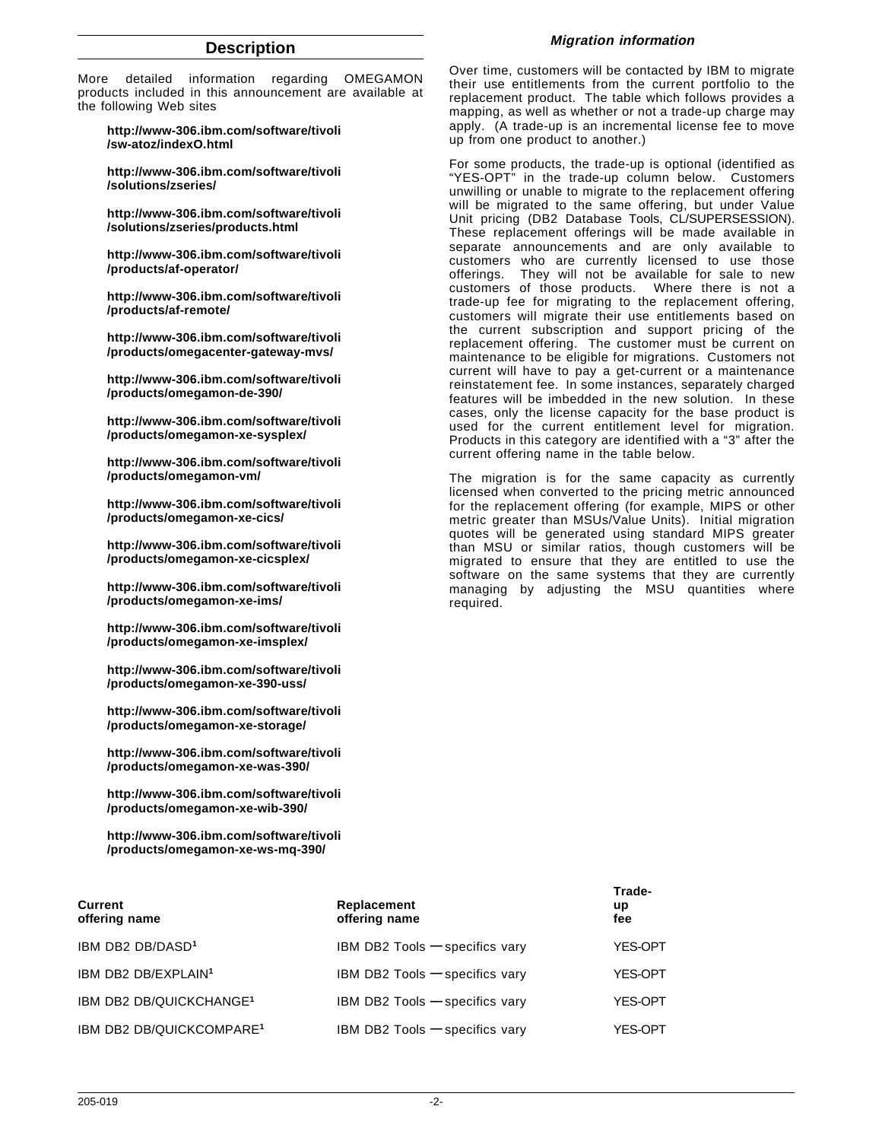#### **Description**

More detailed information regarding OMEGAMON products included in this announcement are available at the following Web sites

**http://www-306.ibm.com/software/tivoli /sw-atoz/indexO.html**

**http://www-306.ibm.com/software/tivoli /solutions/zseries/**

**http://www-306.ibm.com/software/tivoli /solutions/zseries/products.html**

**http://www-306.ibm.com/software/tivoli /products/af-operator/**

**http://www-306.ibm.com/software/tivoli /products/af-remote/**

**http://www-306.ibm.com/software/tivoli /products/omegacenter-gateway-mvs/**

**http://www-306.ibm.com/software/tivoli /products/omegamon-de-390/**

**http://www-306.ibm.com/software/tivoli /products/omegamon-xe-sysplex/**

**http://www-306.ibm.com/software/tivoli /products/omegamon-vm/**

**http://www-306.ibm.com/software/tivoli /products/omegamon-xe-cics/**

**http://www-306.ibm.com/software/tivoli /products/omegamon-xe-cicsplex/**

**http://www-306.ibm.com/software/tivoli /products/omegamon-xe-ims/**

**http://www-306.ibm.com/software/tivoli /products/omegamon-xe-imsplex/**

**http://www-306.ibm.com/software/tivoli /products/omegamon-xe-390-uss/**

**http://www-306.ibm.com/software/tivoli /products/omegamon-xe-storage/**

**http://www-306.ibm.com/software/tivoli /products/omegamon-xe-was-390/**

**http://www-306.ibm.com/software/tivoli /products/omegamon-xe-wib-390/**

**http://www-306.ibm.com/software/tivoli /products/omegamon-xe-ws-mq-390/**

#### **Migration information**

Over time, customers will be contacted by IBM to migrate their use entitlements from the current portfolio to the replacement product. The table which follows provides a mapping, as well as whether or not a trade-up charge may apply. (A trade-up is an incremental license fee to move up from one product to another.)

For some products, the trade-up is optional (identified as "YES-OPT" in the trade-up column below. Customers unwilling or unable to migrate to the replacement offering will be migrated to the same offering, but under Value Unit pricing (DB2 Database Tools, CL/SUPERSESSION). These replacement offerings will be made available in separate announcements and are only available to customers who are currently licensed to use those offerings. They will not be available for sale to new customers of those products. Where there is not a trade-up fee for migrating to the replacement offering, customers will migrate their use entitlements based on the current subscription and support pricing of the replacement offering. The customer must be current on maintenance to be eligible for migrations. Customers not current will have to pay a get-current or a maintenance reinstatement fee. In some instances, separately charged features will be imbedded in the new solution. In these cases, only the license capacity for the base product is used for the current entitlement level for migration. Products in this category are identified with a "3" after the current offering name in the table below.

The migration is for the same capacity as currently licensed when converted to the pricing metric announced for the replacement offering (for example, MIPS or other metric greater than MSUs/Value Units). Initial migration quotes will be generated using standard MIPS greater than MSU or similar ratios, though customers will be migrated to ensure that they are entitled to use the software on the same systems that they are currently managing by adjusting the MSU quantities where required.

| Current<br>offering name             | Replacement<br>offering name     | Trade-<br>up<br>fee |
|--------------------------------------|----------------------------------|---------------------|
| IBM DB2 DB/DASD <sup>1</sup>         | IBM DB2 Tools $-$ specifics vary | YES-OPT             |
| IBM DB2 DB/EXPLAIN <sup>1</sup>      | IBM DB2 Tools $-$ specifics vary | YES-OPT             |
| IBM DB2 DB/QUICKCHANGE <sup>1</sup>  | IBM DB2 Tools $-$ specifics vary | YES-OPT             |
| IBM DB2 DB/QUICKCOMPARE <sup>1</sup> | IBM DB2 Tools - specifics vary   | YES-OPT             |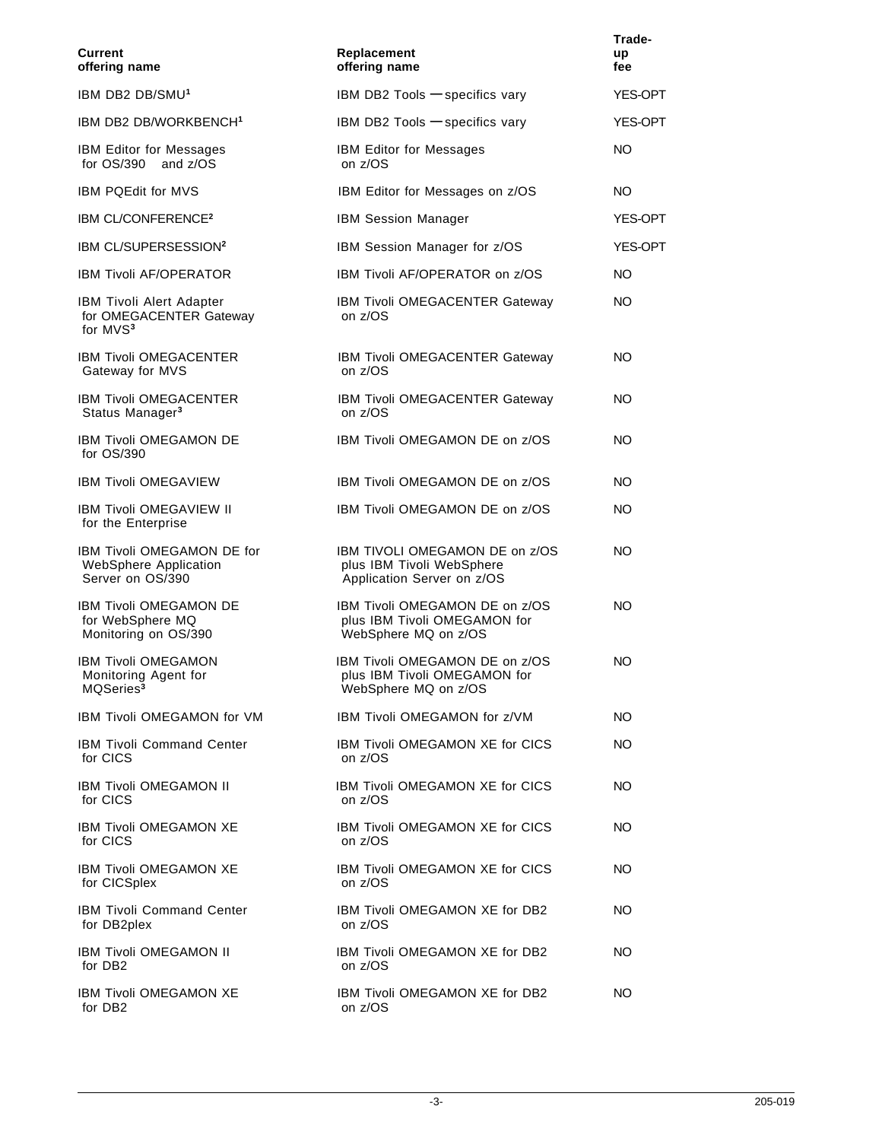| <b>Current</b><br>offering name                                                    | Replacement<br>offering name                                                              |                |
|------------------------------------------------------------------------------------|-------------------------------------------------------------------------------------------|----------------|
| IBM DB2 DB/SMU <sup>1</sup>                                                        | IBM DB2 Tools - specifics vary                                                            | YES-OPT        |
| IBM DB2 DB/WORKBENCH <sup>1</sup>                                                  | IBM DB2 Tools $-$ specifics vary                                                          | <b>YES-OPT</b> |
| <b>IBM Editor for Messages</b><br>for OS/390 <sup>®</sup> and z/OS                 | <b>IBM Editor for Messages</b><br>on z/OS                                                 | NO.            |
| <b>IBM PQEdit for MVS</b>                                                          | IBM Editor for Messages on z/OS                                                           | NO.            |
| IBM CL/CONFERENCE <sup>2</sup>                                                     | <b>IBM Session Manager</b>                                                                | YES-OPT        |
| IBM CL/SUPERSESSION <sup>2</sup>                                                   | IBM Session Manager for z/OS                                                              | <b>YES-OPT</b> |
| <b>IBM Tivoli AF/OPERATOR</b>                                                      | <b>IBM Tivoli AF/OPERATOR on z/OS</b>                                                     | NO.            |
| <b>IBM Tivoli Alert Adapter</b><br>for OMEGACENTER Gateway<br>for MVS <sup>3</sup> | <b>IBM Tivoli OMEGACENTER Gateway</b><br>on z/OS                                          | NO.            |
| IBM Tivoli OMEGACENTER<br>Gateway for MVS                                          | IBM Tivoli OMEGACENTER Gateway<br>on z/OS                                                 | NO.            |
| <b>IBM Tivoli OMEGACENTER</b><br>Status Manager <sup>3</sup>                       | <b>IBM Tivoli OMEGACENTER Gateway</b><br>on z/OS                                          | NO             |
| <b>IBM Tivoli OMEGAMON DE</b><br>for OS/390                                        | IBM Tivoli OMEGAMON DE on z/OS                                                            | NO.            |
| <b>IBM Tivoli OMEGAVIEW</b>                                                        | IBM Tivoli OMEGAMON DE on z/OS                                                            | NO.            |
| <b>IBM Tivoli OMEGAVIEW II</b><br>for the Enterprise                               | IBM Tivoli OMEGAMON DE on z/OS                                                            | NO.            |
| <b>IBM Tivoli OMEGAMON DE for</b><br>WebSphere Application<br>Server on OS/390     | IBM TIVOLI OMEGAMON DE on z/OS<br>plus IBM Tivoli WebSphere<br>Application Server on z/OS | NO             |
| <b>IBM Tivoli OMEGAMON DE</b><br>for WebSphere MQ<br>Monitoring on OS/390          | IBM Tivoli OMEGAMON DE on z/OS<br>plus IBM Tivoli OMEGAMON for<br>WebSphere MQ on z/OS    | NO.            |
| <b>IBM Tivoli OMEGAMON</b><br>Monitoring Agent for<br>MQSeries <sup>3</sup>        | IBM Tivoli OMEGAMON DE on z/OS<br>plus IBM Tivoli OMEGAMON for<br>WebSphere MQ on z/OS    | NO.            |
| IBM Tivoli OMEGAMON for VM                                                         | IBM Tivoli OMEGAMON for z/VM                                                              | NO.            |
| <b>IBM Tivoli Command Center</b><br>for CICS                                       | <b>IBM Tivoli OMEGAMON XE for CICS</b><br>on z/OS                                         | NO.            |
| <b>IBM Tivoli OMEGAMON II</b><br>for CICS                                          | <b>IBM Tivoli OMEGAMON XE for CICS</b><br>on z/OS                                         | NO.            |
| <b>IBM Tivoli OMEGAMON XE</b><br>for CICS                                          | <b>IBM Tivoli OMEGAMON XE for CICS</b><br>on z/OS                                         | NO.            |
| IBM Tivoli OMEGAMON XE<br>for CICSplex <sup>®</sup>                                | <b>IBM Tivoli OMEGAMON XE for CICS</b><br>on z/OS                                         | NO.            |
| <b>IBM Tivoli Command Center</b><br>for DB2plex                                    | <b>IBM Tivoli OMEGAMON XE for DB2</b><br>on z/OS                                          | NO.            |
| <b>IBM Tivoli OMEGAMON II</b><br>for DB2                                           | IBM Tivoli OMEGAMON XE for DB2<br>on z/OS                                                 | NO.            |
| IBM Tivoli OMEGAMON XE<br>for DB2                                                  | <b>IBM Tivoli OMEGAMON XE for DB2</b><br>on z/OS                                          | NO.            |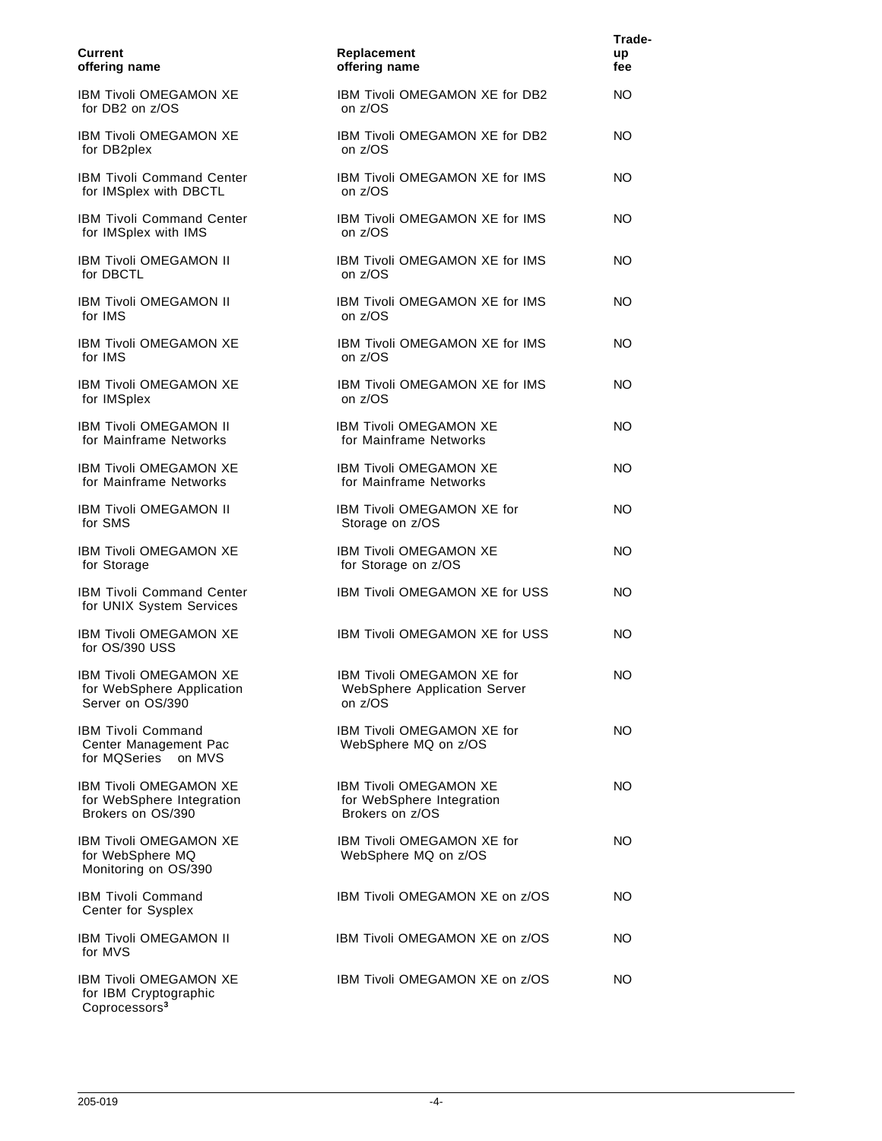| <b>Current</b><br>offering name                                                 | Replacement<br>offering name                                           | Trade-<br>up<br>fee |
|---------------------------------------------------------------------------------|------------------------------------------------------------------------|---------------------|
| <b>IBM Tivoli OMEGAMON XE</b><br>for DB2 on z/OS                                | IBM Tivoli OMEGAMON XE for DB2<br>on z/OS                              | NO.                 |
| <b>IBM Tivoli OMEGAMON XE</b><br>for DB2plex                                    | <b>IBM Tivoli OMEGAMON XE for DB2</b><br>on z/OS                       | NO.                 |
| <b>IBM Tivoli Command Center</b><br>for IMSplex with DBCTL                      | <b>IBM Tivoli OMEGAMON XE for IMS</b><br>on z/OS                       | NO                  |
| <b>IBM Tivoli Command Center</b><br>for IMSplex with IMS                        | IBM Tivoli OMEGAMON XE for IMS<br>on z/OS                              | NO                  |
| <b>IBM Tivoli OMEGAMON II</b><br>for DBCTL                                      | <b>IBM Tivoli OMEGAMON XE for IMS</b><br>on z/OS                       | NO                  |
| <b>IBM Tivoli OMEGAMON II</b><br>for IMS                                        | IBM Tivoli OMEGAMON XE for IMS<br>on z/OS                              | NO                  |
| <b>IBM Tivoli OMEGAMON XE</b><br>for IMS                                        | <b>IBM Tivoli OMEGAMON XE for IMS</b><br>on z/OS                       | NO.                 |
| IBM Tivoli OMEGAMON XE<br>for IMSplex                                           | IBM Tivoli OMEGAMON XE for IMS<br>on z/OS                              | NO.                 |
| <b>IBM Tivoli OMEGAMON II</b><br>for Mainframe Networks                         | <b>IBM Tivoli OMEGAMON XE</b><br>for Mainframe Networks                | NO.                 |
| <b>IBM Tivoli OMEGAMON XE</b><br>for Mainframe Networks                         | <b>IBM Tivoli OMEGAMON XE</b><br>for Mainframe Networks                | NO.                 |
| <b>IBM Tivoli OMEGAMON II</b><br>for SMS                                        | IBM Tivoli OMEGAMON XE for<br>Storage on z/OS                          | NO.                 |
| <b>IBM Tivoli OMEGAMON XE</b><br>for Storage                                    | <b>IBM Tivoli OMEGAMON XE</b><br>for Storage on z/OS                   | NO.                 |
| <b>IBM Tivoli Command Center</b><br>for UNIX System Services                    | IBM Tivoli OMEGAMON XE for USS                                         | NO                  |
| <b>IBM Tivoli OMEGAMON XE</b><br>for OS/390 USS                                 | <b>IBM Tivoli OMEGAMON XE for USS</b>                                  | NO                  |
| IBM Tivoli OMEGAMON XE<br>for WebSphere Application<br>Server on OS/390         | IBM Tivoli OMEGAMON XE for<br>WebSphere Application Server<br>on z/OS  | NO                  |
| IBM Tivoli Command<br>Center Management Pac<br>for MQSeries <sup>®</sup> on MVS | IBM Tivoli OMEGAMON XE for<br>WebSphere MQ on z/OS                     | NO.                 |
| <b>IBM Tivoli OMEGAMON XE</b><br>for WebSphere Integration<br>Brokers on OS/390 | IBM Tivoli OMEGAMON XE<br>for WebSphere Integration<br>Brokers on z/OS | NO.                 |
| <b>IBM Tivoli OMEGAMON XE</b><br>for WebSphere MQ<br>Monitoring on OS/390       | IBM Tivoli OMEGAMON XE for<br>WebSphere MQ on z/OS                     | NO                  |
| <b>IBM Tivoli Command</b><br>Center for Sysplex                                 | IBM Tivoli OMEGAMON XE on z/OS                                         | NO.                 |
| IBM Tivoli OMEGAMON II<br>for MVS                                               | IBM Tivoli OMEGAMON XE on z/OS                                         | NO.                 |
| IBM Tivoli OMEGAMON XE<br>for IBM Cryptographic<br>Coprocessors <sup>3</sup>    | IBM Tivoli OMEGAMON XE on z/OS                                         | ΝO                  |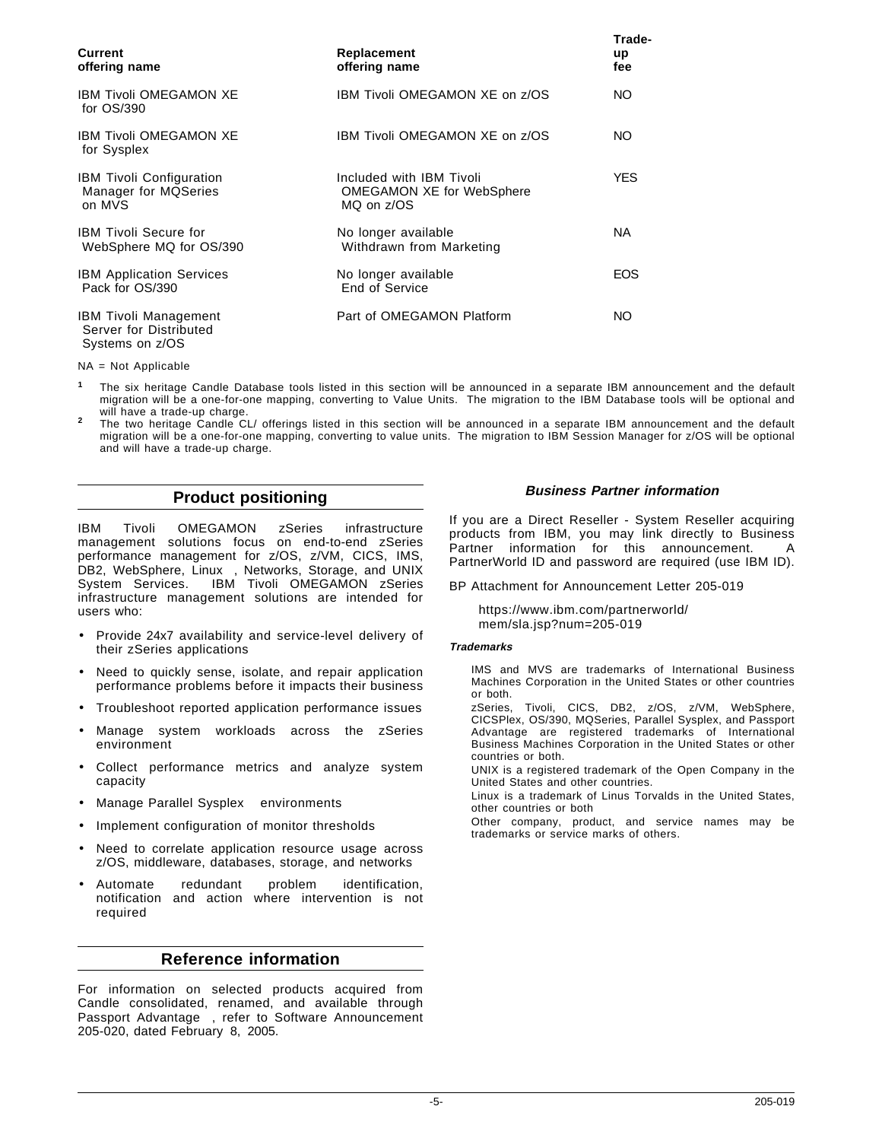| Current<br>offering name                                                  | Replacement<br>offering name                                        | Trade-<br>up<br>fee |
|---------------------------------------------------------------------------|---------------------------------------------------------------------|---------------------|
| <b>IBM Tivoli OMEGAMON XE</b><br>for $OS/390$                             | IBM Tivoli OMEGAMON XE on z/OS                                      | NO.                 |
| <b>IBM Tivoli OMEGAMON XE</b><br>for Sysplex                              | IBM Tivoli OMEGAMON XE on z/OS                                      | NO.                 |
| <b>IBM Tivoli Configuration</b><br>Manager for MQSeries<br>on MVS         | Included with IBM Tivoli<br>OMEGAMON XE for WebSphere<br>MQ on z/OS | <b>YES</b>          |
| <b>IBM Tivoli Secure for</b><br>WebSphere MQ for OS/390                   | No longer available<br>Withdrawn from Marketing                     | NA.                 |
| <b>IBM Application Services</b><br>Pack for OS/390                        | No longer available<br>End of Service                               | <b>EOS</b>          |
| <b>IBM Tivoli Management</b><br>Server for Distributed<br>Systems on z/OS | Part of OMEGAMON Platform                                           | NO.                 |

NA = Not Applicable

- **<sup>1</sup>** The six heritage Candle Database tools listed in this section will be announced in a separate IBM announcement and the default migration will be a one-for-one mapping, converting to Value Units. The migration to the IBM Database tools will be optional and
- will have a trade-up charge. **<sup>2</sup>** The two heritage Candle CL/ offerings listed in this section will be announced in a separate IBM announcement and the default migration will be a one-for-one mapping, converting to value units. The migration to IBM Session Manager for z/OS will be optional and will have a trade-up charge.

## **Product positioning**

IBM Tivoli OMEGAMON zSeries infrastructure management solutions focus on end-to-end zSeries performance management for z/OS, z/VM, CICS, IMS, DB2, WebSphere, Linux™, Networks, Storage, and UNIX System Services. IBM Tivoli OMEGAMON zSeries infrastructure management solutions are intended for users who:

- Provide 24x7 availability and service-level delivery of their zSeries applications
- Need to quickly sense, isolate, and repair application performance problems before it impacts their business
- Troubleshoot reported application performance issues
- Manage system workloads across the zSeries environment
- Collect performance metrics and analyze system capacity
- Manage Parallel Sysplex<sup>®</sup> environments
- Implement configuration of monitor thresholds
- Need to correlate application resource usage across z/OS, middleware, databases, storage, and networks
- Automate redundant problem identification, notification and action where intervention is not required

#### **Reference information**

For information on selected products acquired from Candle consolidated, renamed, and available through Passport Advantage®, refer to Software Announcement 205-020, dated February 8, 2005.

#### **Business Partner information**

If you are a Direct Reseller - System Reseller acquiring products from IBM, you may link directly to Business Partner information for this announcement. A PartnerWorld ID and password are required (use IBM ID).

BP Attachment for Announcement Letter 205-019

https://www.ibm.com/partnerworld/ mem/sla.jsp?num=205-019

#### **Trademarks**

IMS and MVS are trademarks of International Business Machines Corporation in the United States or other countries or both.

zSeries, Tivoli, CICS, DB2, z/OS, z/VM, WebSphere, CICSPlex, OS/390, MQSeries, Parallel Sysplex, and Passport Advantage are registered trademarks of International Business Machines Corporation in the United States or other countries or both.

UNIX is a registered trademark of the Open Company in the United States and other countries.

Linux is a trademark of Linus Torvalds in the United States, other countries or both

Other company, product, and service names may be trademarks or service marks of others.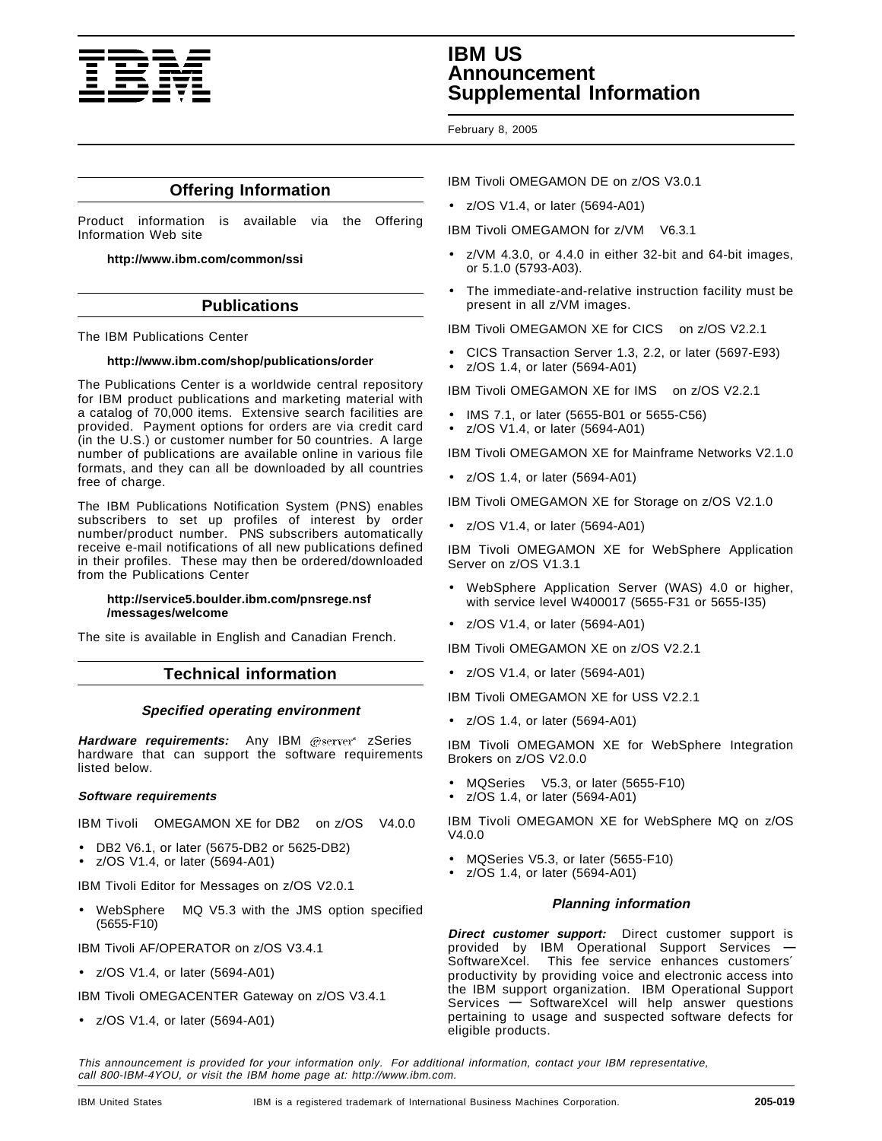

## **IBM US Announcement Supplemental Information**

February 8, 2005

## **Offering Information**

Product information is available via the Offering Information Web site

**http://www.ibm.com/common/ssi**

## **Publications**

The IBM Publications Center

#### **http://www.ibm.com/shop/publications/order**

The Publications Center is a worldwide central repository for IBM product publications and marketing material with a catalog of 70,000 items. Extensive search facilities are provided. Payment options for orders are via credit card (in the U.S.) or customer number for 50 countries. A large number of publications are available online in various file formats, and they can all be downloaded by all countries free of charge.

The IBM Publications Notification System (PNS) enables subscribers to set up profiles of interest by order number/product number. PNS subscribers automatically receive e-mail notifications of all new publications defined in their profiles. These may then be ordered/downloaded from the Publications Center

#### **http://service5.boulder.ibm.com/pnsrege.nsf /messages/welcome**

The site is available in English and Canadian French.

#### **Technical information**

#### **Specified operating environment**

Hardware requirements: Any IBM @server<sup>®</sup> zSeries<sup>®</sup> hardware that can support the software requirements listed below.

#### **Software requirements**

IBM Tivoli® OMEGAMON XE for DB2® on z/OS® V4.0.0

- DB2 V6.1, or later (5675-DB2 or 5625-DB2)
- z/OS V1.4, or later (5694-A01)

IBM Tivoli Editor for Messages on z/OS V2.0.1

WebSphere<sup>®</sup> MQ V5.3 with the JMS option specified (5655-F10)

IBM Tivoli AF/OPERATOR on z/OS V3.4.1

• z/OS V1.4, or later (5694-A01)

IBM Tivoli OMEGACENTER Gateway on z/OS V3.4.1

• z/OS V1.4, or later (5694-A01)

IBM Tivoli OMEGAMON DE on z/OS V3.0.1

• z/OS V1.4, or later (5694-A01)

IBM Tivoli OMEGAMON for z/VM® V6.3.1

- $z/VM$  4.3.0, or 4.4.0 in either 32-bit and 64-bit images, or 5.1.0 (5793-A03).
- The immediate-and-relative instruction facility must be present in all z/VM images.

IBM Tivoli OMEGAMON XE for CICS® on z/OS V2.2.1

- CICS Transaction Server 1.3, 2.2, or later (5697-E93)
- z/OS 1.4, or later (5694-A01)

IBM Tivoli OMEGAMON XE for IMS™ on z/OS V2.2.1

- IMS 7.1, or later (5655-B01 or 5655-C56)
- z/OS V1.4, or later (5694-A01)

IBM Tivoli OMEGAMON XE for Mainframe Networks V2.1.0

• z/OS 1.4, or later (5694-A01)

IBM Tivoli OMEGAMON XE for Storage on z/OS V2.1.0

• z/OS V1.4, or later (5694-A01)

IBM Tivoli OMEGAMON XE for WebSphere Application Server on z/OS V1.3.1

- WebSphere Application Server (WAS) 4.0 or higher, with service level W400017 (5655-F31 or 5655-I35)
- z/OS V1.4, or later (5694-A01)

IBM Tivoli OMEGAMON XE on z/OS V2.2.1

• z/OS V1.4, or later (5694-A01)

IBM Tivoli OMEGAMON XE for USS V2.2.1

• z/OS 1.4, or later (5694-A01)

IBM Tivoli OMEGAMON XE for WebSphere Integration Brokers on z/OS V2.0.0

- MQSeries<sup>®</sup> V5.3, or later (5655-F10)
- z/OS 1.4, or later (5694-A01)

IBM Tivoli OMEGAMON XE for WebSphere MQ on z/OS V4.0.0

- MQSeries V5.3, or later (5655-F10)
- z/OS 1.4, or later (5694-A01)

#### **Planning information**

**Direct customer support:** Direct customer support is provided by IBM Operational Support Services **—** SoftwareXcel. This fee service enhances customers′ productivity by providing voice and electronic access into the IBM support organization. IBM Operational Support Services **—** SoftwareXcel will help answer questions pertaining to usage and suspected software defects for eligible products.

This announcement is provided for your information only. For additional information, contact your IBM representative, call 800-IBM-4YOU, or visit the IBM home page at: http://www.ibm.com.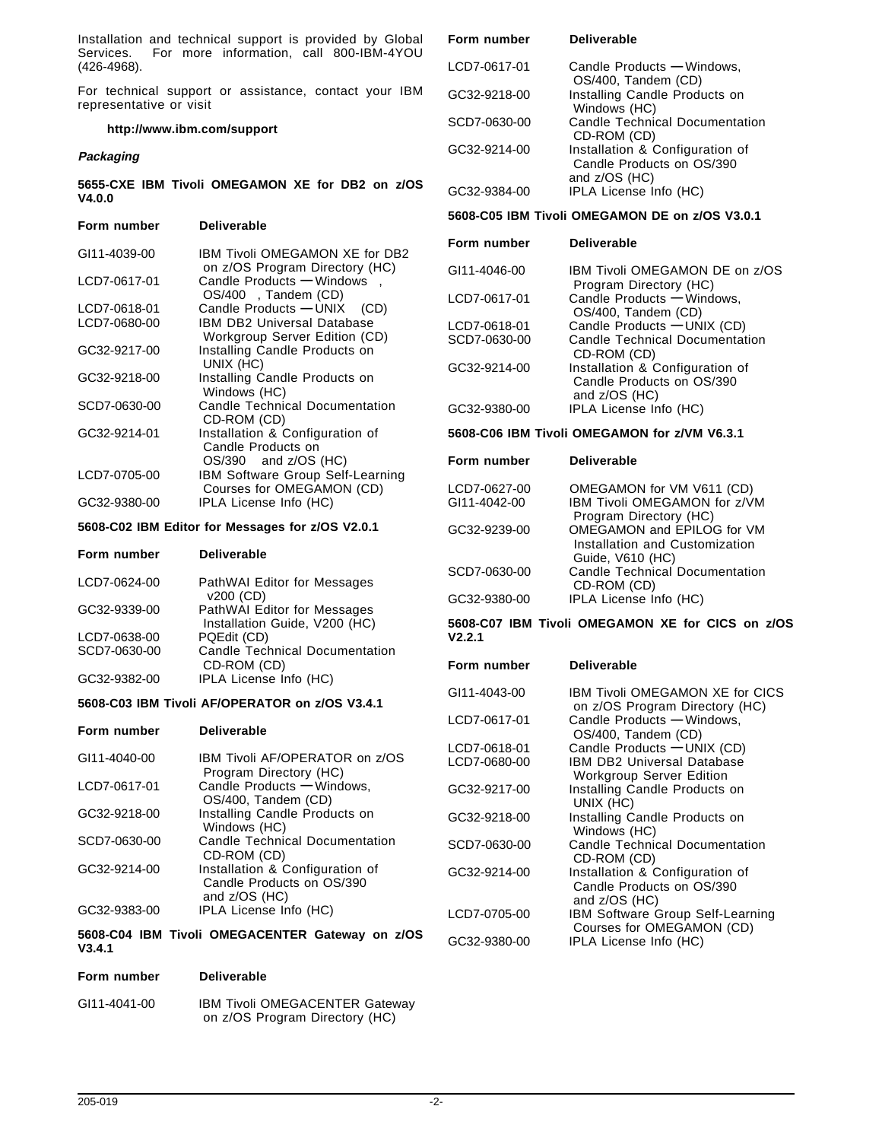Installation and technical support is provided by Global Services. For more information, call 800-IBM-4YOU (426-4968).

For technical support or assistance, contact your IBM representative or visit

#### **http://www.ibm.com/support**

#### **Packaging**

#### **5655-CXE IBM Tivoli OMEGAMON XE for DB2 on z/OS V4.0.0**

| Form number  | <b>Deliverable</b>                                                                             |
|--------------|------------------------------------------------------------------------------------------------|
| GI11-4039-00 | IBM Tivoli OMEGAMON XE for DB2<br>on z/OS Program Directory (HC)                               |
| LCD7-0617-01 | Candle Products - Windows™.<br>OS/400 <sup>®</sup> , Tandem (CD)                               |
| LCD7-0618-01 | Candle Products - UNIX <sup>®</sup> (CD)                                                       |
| LCD7-0680-00 | IBM DB2 Universal Database®<br>Workgroup Server Edition (CD)                                   |
| GC32-9217-00 | Installing Candle Products on<br>UNIX (HC)                                                     |
| GC32-9218-00 | Installing Candle Products on<br>Windows (HC)                                                  |
| SCD7-0630-00 | <b>Candle Technical Documentation</b><br>CD-ROM (CD)                                           |
| GC32-9214-01 | Installation & Configuration of<br>Candle Products on<br>$OS/390$ <sup>®</sup> and $z/OS$ (HC) |
| LCD7-0705-00 | IBM Software Group Self-Learning<br>Courses for OMEGAMON (CD)                                  |
| GC32-9380-00 | IPLA License Info (HC)                                                                         |

#### **5608-C02 IBM Editor for Messages for z/OS V2.0.1**

#### **Form number Deliverable**

**Form number Deliverable**

| LCD7-0624-00 | PathWAI Editor for Messages<br>v200 (CD)                     |
|--------------|--------------------------------------------------------------|
| GC32-9339-00 | PathWAI Editor for Messages<br>Installation Guide, V200 (HC) |
| LCD7-0638-00 | PQEdit (CD)                                                  |
| SCD7-0630-00 | Candle Technical Documentation<br>CD-ROM (CD)                |
| GC32-9382-00 | IPLA License Info (HC)                                       |

#### **5608-C03 IBM Tivoli AF/OPERATOR on z/OS V3.4.1**

| GI11-4040-00 | IBM Tivoli AF/OPERATOR on z/OS<br>Program Directory (HC)                      |
|--------------|-------------------------------------------------------------------------------|
| LCD7-0617-01 | Candle Products - Windows,<br>OS/400, Tandem (CD)                             |
| GC32-9218-00 | Installing Candle Products on<br>Windows (HC)                                 |
| SCD7-0630-00 | <b>Candle Technical Documentation</b><br>CD-ROM (CD)                          |
| GC32-9214-00 | Installation & Configuration of<br>Candle Products on OS/390<br>and z/OS (HC) |
| GC32-9383-00 | IPLA License Info (HC)                                                        |

**5608-C04 IBM Tivoli OMEGACENTER Gateway on z/OS V3.4.1**

#### **Form number Deliverable**

GI11-4041-00 IBM Tivoli OMEGACENTER Gateway on z/OS Program Directory (HC)

| гонн шишл    | рымылны                                                                       |
|--------------|-------------------------------------------------------------------------------|
| LCD7-0617-01 | Candle Products - Windows,<br>OS/400, Tandem (CD)                             |
| GC32-9218-00 | Installing Candle Products on<br>Windows (HC)                                 |
| SCD7-0630-00 | <b>Candle Technical Documentation</b><br>CD-ROM (CD)                          |
| GC32-9214-00 | Installation & Configuration of<br>Candle Products on OS/390<br>and z/OS (HC) |
| GC32-9384-00 | IPLA License Info (HC)                                                        |

#### **5608-C05 IBM Tivoli OMEGAMON DE on z/OS V3.0.1**

#### **Form number Deliverable**

**Form number Deliverable**

| GI11-4046-00 | IBM Tivoli OMEGAMON DE on z/OS                    |
|--------------|---------------------------------------------------|
|              | Program Directory (HC)                            |
| LCD7-0617-01 | Candle Products - Windows,<br>OS/400, Tandem (CD) |
|              |                                                   |
| LCD7-0618-01 | Candle Products - UNIX (CD)                       |
| SCD7-0630-00 | <b>Candle Technical Documentation</b>             |
|              | CD-ROM (CD)                                       |
| GC32-9214-00 | Installation & Configuration of                   |
|              | Candle Products on OS/390                         |
|              | and z/OS (HC)                                     |
| GC32-9380-00 | IPLA License Info (HC)                            |
|              |                                                   |

#### **5608-C06 IBM Tivoli OMEGAMON for z/VM V6.3.1**

| Form number                  | Deliverable                                                                         |
|------------------------------|-------------------------------------------------------------------------------------|
| LCD7-0627-00<br>GI11-4042-00 | OMEGAMON for VM V611 (CD)<br>IBM Tivoli OMEGAMON for z/VM<br>Program Directory (HC) |
| GC32-9239-00                 | OMEGAMON and EPILOG for VM<br>Installation and Customization<br>Guide, V610 (HC)    |
| SCD7-0630-00                 | Candle Technical Documentation<br>CD-ROM (CD)                                       |
| GC32-9380-00                 | IPLA License Info (HC)                                                              |

**5608-C07 IBM Tivoli OMEGAMON XE for CICS on z/OS V2.2.1**

#### **Form number Deliverable**

| GI11-4043-00 | <b>IBM Tivoli OMEGAMON XE for CICS</b><br>on z/OS Program Directory (HC)      |
|--------------|-------------------------------------------------------------------------------|
| LCD7-0617-01 | Candle Products - Windows,<br>OS/400, Tandem (CD)                             |
| LCD7-0618-01 | Candle Products - UNIX (CD)                                                   |
| LCD7-0680-00 | <b>IBM DB2 Universal Database</b><br><b>Workgroup Server Edition</b>          |
| GC32-9217-00 | Installing Candle Products on<br>UNIX (HC)                                    |
| GC32-9218-00 | Installing Candle Products on<br>Windows (HC)                                 |
| SCD7-0630-00 | Candle Technical Documentation<br>CD-ROM (CD)                                 |
| GC32-9214-00 | Installation & Configuration of<br>Candle Products on OS/390<br>and z/OS (HC) |
| LCD7-0705-00 | IBM Software Group Self-Learning<br>Courses for OMEGAMON (CD)                 |
| GC32-9380-00 | IPLA License Info (HC)                                                        |
|              |                                                                               |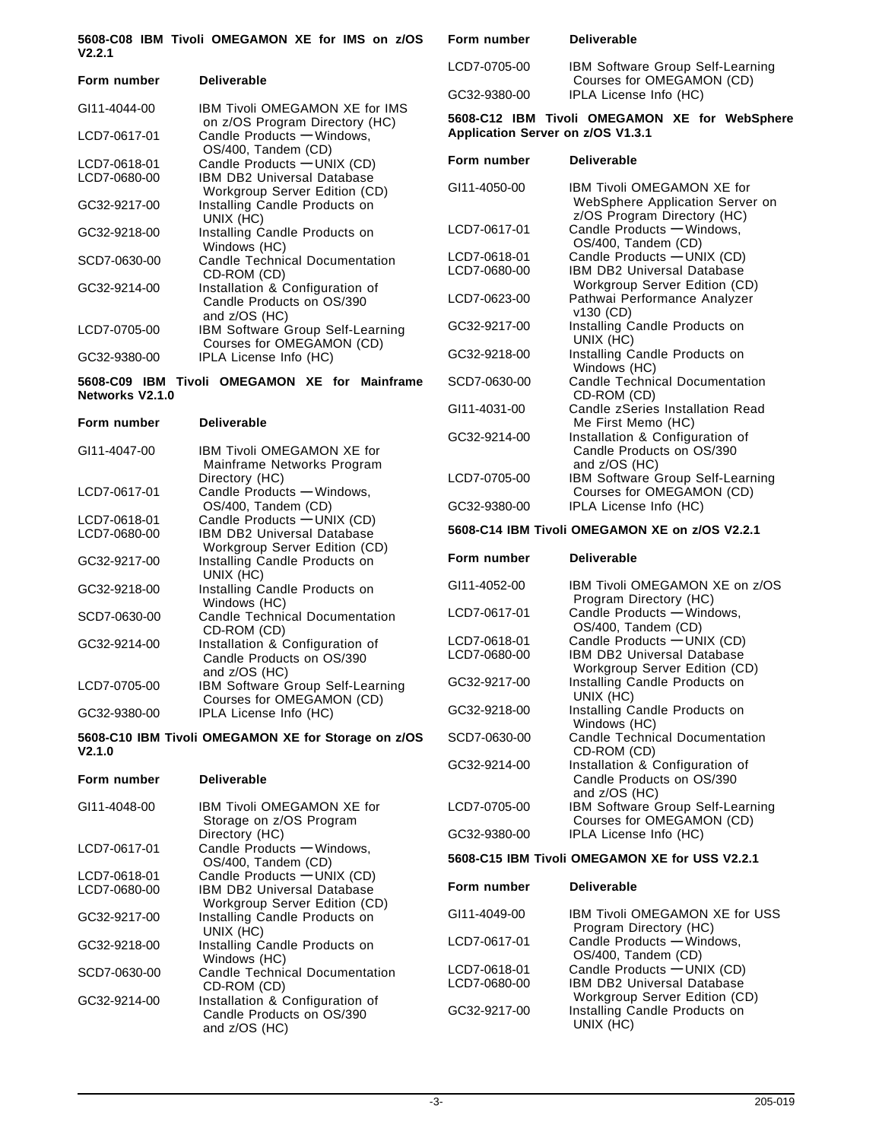|        |  | 5608-C08 IBM Tivoli OMEGAMON XE for IMS on z/OS |  |  |  |
|--------|--|-------------------------------------------------|--|--|--|
| V2.2.1 |  |                                                 |  |  |  |

| Form number  | <b>Deliverable</b>                                                            |
|--------------|-------------------------------------------------------------------------------|
| GI11-4044-00 | IBM Tivoli OMEGAMON XE for IMS<br>on z/OS Program Directory (HC)              |
| LCD7-0617-01 | Candle Products - Windows,<br>OS/400, Tandem (CD)                             |
| LCD7-0618-01 | Candle Products - UNIX (CD)                                                   |
| LCD7-0680-00 | IBM DB2 Universal Database<br>Workgroup Server Edition (CD)                   |
| GC32-9217-00 | Installing Candle Products on<br>UNIX (HC)                                    |
| GC32-9218-00 | Installing Candle Products on<br>Windows (HC)                                 |
| SCD7-0630-00 | <b>Candle Technical Documentation</b><br>CD-ROM (CD)                          |
| GC32-9214-00 | Installation & Configuration of<br>Candle Products on OS/390<br>and z/OS (HC) |
| LCD7-0705-00 | IBM Software Group Self-Learning<br>Courses for OMEGAMON (CD)                 |
| GC32-9380-00 | IPLA License Info (HC)                                                        |

**5608-C09 IBM Tivoli OMEGAMON XE for Mainframe Networks V2.1.0**

| Form number  | <b>Deliverable</b>                                                            |
|--------------|-------------------------------------------------------------------------------|
| GI11-4047-00 | IBM Tivoli OMEGAMON XE for<br>Mainframe Networks Program<br>Directory (HC)    |
| LCD7-0617-01 | Candle Products - Windows,<br>OS/400, Tandem (CD)                             |
| LCD7-0618-01 | Candle Products - UNIX (CD)                                                   |
| LCD7-0680-00 | IBM DB2 Universal Database<br>Workgroup Server Edition (CD)                   |
| GC32-9217-00 | Installing Candle Products on<br>UNIX (HC)                                    |
| GC32-9218-00 | Installing Candle Products on<br>Windows (HC)                                 |
| SCD7-0630-00 | <b>Candle Technical Documentation</b><br>CD-ROM (CD)                          |
| GC32-9214-00 | Installation & Configuration of<br>Candle Products on OS/390<br>and z/OS (HC) |
| LCD7-0705-00 | IBM Software Group Self-Learning<br>Courses for OMEGAMON (CD)                 |
| GC32-9380-00 | IPLA License Info (HC)                                                        |

**5608-C10 IBM Tivoli OMEGAMON XE for Storage on z/OS V2.1.0**

| Form number  | Deliverable                                                                     |
|--------------|---------------------------------------------------------------------------------|
| GI11-4048-00 | IBM Tivoli OMFGAMON XF for<br>Storage on z/OS Program<br>Directory (HC)         |
| LCD7-0617-01 | Candle Products - Windows,<br>OS/400, Tandem (CD)                               |
| LCD7-0618-01 | Candle Products - UNIX (CD)                                                     |
| LCD7-0680-00 | IBM DB2 Universal Database<br>Workgroup Server Edition (CD)                     |
| GC32-9217-00 | Installing Candle Products on<br>UNIX (HC)                                      |
| GC32-9218-00 | Installing Candle Products on<br>Windows (HC)                                   |
| SCD7-0630-00 | <b>Candle Technical Documentation</b><br>CD-ROM (CD)                            |
| GC32-9214-00 | Installation & Configuration of<br>Candle Products on OS/390<br>and $z/OS$ (HC) |

| LCD7-0705-00                                 | IBM Software Group Self-Learning<br>Courses for OMEGAMON (CD)                                       |
|----------------------------------------------|-----------------------------------------------------------------------------------------------------|
| GC32-9380-00                                 | IPLA License Info (HC)                                                                              |
| Application Server on z/OS V1.3.1            | 5608-C12 IBM Tivoli OMEGAMON XE for WebSphere                                                       |
| Form number                                  | <b>Deliverable</b>                                                                                  |
| GI11-4050-00                                 | <b>IBM Tivoli OMEGAMON XE for</b><br>WebSphere Application Server on<br>z/OS Program Directory (HC) |
| LCD7-0617-01                                 | Candle Products - Windows,<br>OS/400, Tandem (CD)                                                   |
| LCD7-0618-01<br>LCD7-0680-00                 | Candle Products - UNIX (CD)<br><b>IBM DB2 Universal Database</b><br>Workgroup Server Edition (CD)   |
| LCD7-0623-00                                 | Pathwai Performance Analyzer<br>v130 (CD)                                                           |
| GC32-9217-00                                 | Installing Candle Products on<br>UNIX (HC)                                                          |
| GC32-9218-00                                 | Installing Candle Products on<br>Windows (HC)                                                       |
| SCD7-0630-00                                 | <b>Candle Technical Documentation</b><br>CD-ROM (CD)                                                |
| GI11-4031-00                                 | Candle zSeries Installation Read<br>Me First Memo (HC)                                              |
| GC32-9214-00                                 | Installation & Configuration of<br>Candle Products on OS/390                                        |
| LCD7-0705-00                                 | and z/OS (HC)<br>IBM Software Group Self-Learning<br>Courses for OMEGAMON (CD)                      |
| GC32-9380-00                                 | IPLA License Info (HC)                                                                              |
|                                              | 5608-C14 IBM Tivoli OMEGAMON XE on z/OS V2.2.1                                                      |
| Form number                                  | <b>Deliverable</b>                                                                                  |
| GI11-4052-00                                 | IBM Tivoli OMEGAMON XE on z/OS<br>Program Directory (HC)                                            |
|                                              |                                                                                                     |
|                                              | Candle Products - Windows.                                                                          |
| LCD7-0617-01<br>LCD7-0618-01<br>LCD7-0680-00 | OS/400, Tandem (CD)<br>Candle Products - UNIX (CD)<br><b>IBM DB2 Universal Database</b>             |
| GC32-9217-00                                 | Workgroup Server Edition (CD)<br>Installing Candle Products on                                      |
| GC32-9218-00                                 | UNIX (HC)<br>Installing Candle Products on                                                          |
| SCD7-0630-00                                 | Windows (HC)<br><b>Candle Technical Documentation</b>                                               |
| GC32-9214-00                                 | CD-ROM (CD)<br>Installation & Configuration of<br>Candle Products on OS/390                         |
| LCD7-0705-00                                 | and z/OS (HC)<br>IBM Software Group Self-Learning                                                   |
| GC32-9380-00                                 | Courses for OMEGAMON (CD)<br>IPLA License Info (HC)                                                 |
|                                              | 5608-C15 IBM Tivoli OMEGAMON XE for USS V2.2.1                                                      |
| Form number                                  | <b>Deliverable</b>                                                                                  |
| GI11-4049-00                                 | IBM Tivoli OMEGAMON XE for USS                                                                      |
| LCD7-0617-01                                 | Program Directory (HC)<br>Candle Products - Windows,                                                |
| LCD7-0618-01<br>LCD7-0680-00                 | OS/400, Tandem (CD)<br>Candle Products - UNIX (CD)<br><b>IBM DB2 Universal Database</b>             |
| GC32-9217-00                                 | Workgroup Server Edition (CD)<br>Installing Candle Products on<br>UNIX (HC)                         |

**Form number Deliverable**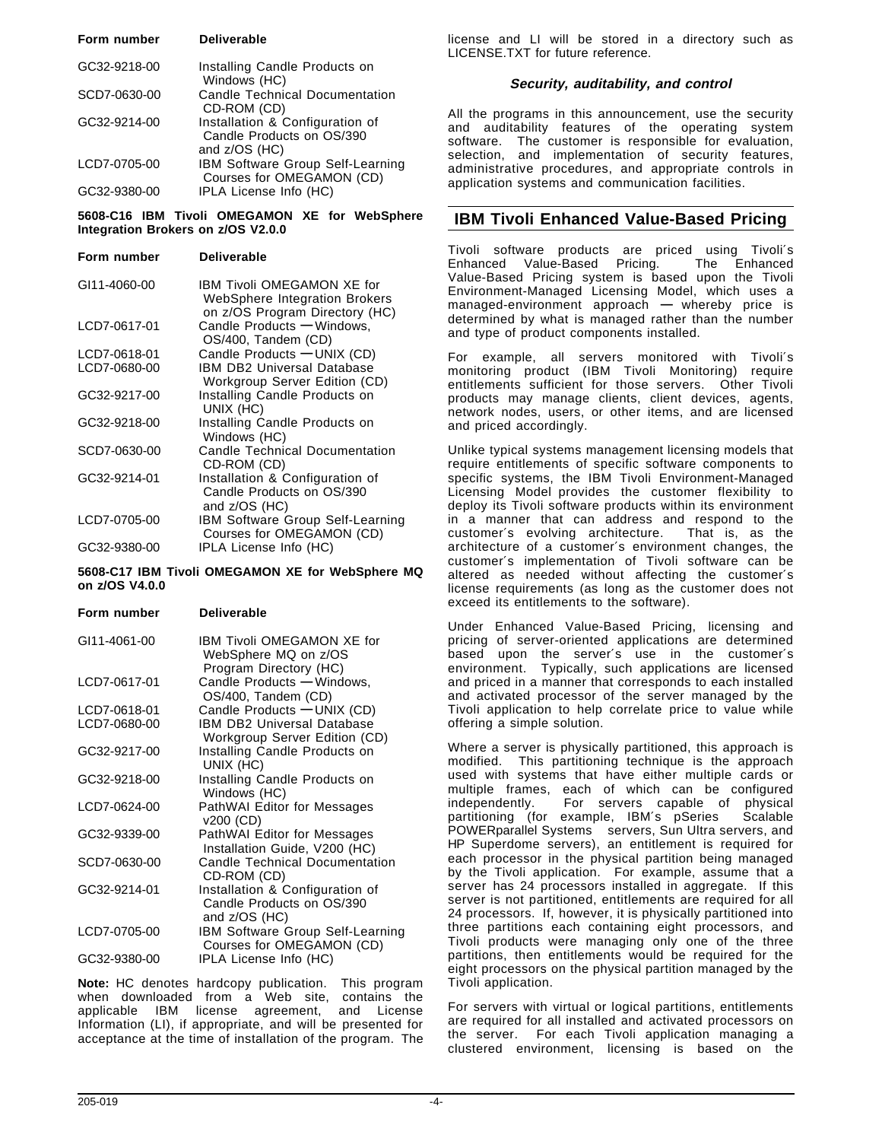| Form number  | <b>Deliverable</b>                                                            |
|--------------|-------------------------------------------------------------------------------|
| GC32-9218-00 | Installing Candle Products on<br>Windows (HC)                                 |
| SCD7-0630-00 | <b>Candle Technical Documentation</b><br>CD-ROM (CD)                          |
| GC32-9214-00 | Installation & Configuration of<br>Candle Products on OS/390<br>and z/OS (HC) |
| LCD7-0705-00 | IBM Software Group Self-Learning<br>Courses for OMEGAMON (CD)                 |
| GC32-9380-00 | IPLA License Info (HC)                                                        |

**5608-C16 IBM Tivoli OMEGAMON XE for WebSphere Integration Brokers on z/OS V2.0.0**

**Form number Deliverable** GI11-4060-00 IBM Tivoli OMEGAMON XE for WebSphere Integration Brokers on z/OS Program Directory (HC) LCD7-0617-01 Candle Products **—** Windows, OS/400, Tandem (CD) LCD7-0618-01 Candle Products **—** UNIX (CD) LCD7-0680-00 **IBM DB2 Universal Database**  Workgroup Server Edition (CD) GC32-9217-00 Installing Candle Products on UNIX (HC) GC32-9218-00 Installing Candle Products on Windows (HC) SCD7-0630-00 Candle Technical Documentation CD-ROM (CD) GC32-9214-01 Installation & Configuration of Candle Products on OS/390 and z/OS (HC) LCD7-0705-00 IBM Software Group Self-Learning Courses for OMEGAMON (CD) GC32-9380-00 IPLA License Info (HC)

**5608-C17 IBM Tivoli OMEGAMON XE for WebSphere MQ on z/OS V4.0.0**

**Form number Deliverable**

| GI11-4061-00 | IBM Tivoli OMEGAMON XE for<br>WebSphere MQ on z/OS<br>Program Directory (HC)  |
|--------------|-------------------------------------------------------------------------------|
| LCD7-0617-01 | Candle Products - Windows,<br>OS/400, Tandem (CD)                             |
| LCD7-0618-01 | Candle Products - UNIX (CD)                                                   |
| LCD7-0680-00 | <b>IBM DB2 Universal Database</b><br>Workgroup Server Edition (CD)            |
| GC32-9217-00 | Installing Candle Products on<br>UNIX (HC)                                    |
| GC32-9218-00 | Installing Candle Products on<br>Windows (HC)                                 |
| LCD7-0624-00 | <b>PathWAI Editor for Messages</b><br>v200 (CD)                               |
| GC32-9339-00 | PathWAI Editor for Messages<br>Installation Guide, V200 (HC)                  |
| SCD7-0630-00 | Candle Technical Documentation<br>CD-ROM (CD)                                 |
| GC32-9214-01 | Installation & Configuration of<br>Candle Products on OS/390<br>and z/OS (HC) |
| LCD7-0705-00 | <b>IBM Software Group Self-Learning</b><br>Courses for OMEGAMON (CD)          |
| GC32-9380-00 | IPLA License Info (HC)                                                        |
|              |                                                                               |

**Note:** HC denotes hardcopy publication. This program when downloaded from a Web site, contains the applicable IBM license agreement, and License Information (LI), if appropriate, and will be presented for acceptance at the time of installation of the program. The

license and LI will be stored in a directory such as LICENSE.TXT for future reference.

#### **Security, auditability, and control**

All the programs in this announcement, use the security and auditability features of the operating system software. The customer is responsible for evaluation, selection, and implementation of security features, administrative procedures, and appropriate controls in application systems and communication facilities.

## **IBM Tivoli Enhanced Value-Based Pricing**

Tivoli software products are priced using Tivoli′s Enhanced Value-Based Pricing. Value-Based Pricing system is based upon the Tivoli Environment-Managed Licensing Model, which uses a managed-environment approach **—** whereby price is determined by what is managed rather than the number and type of product components installed.

For example, all servers monitored with Tivoli′s monitoring product (IBM Tivoli Monitoring) require entitlements sufficient for those servers. Other Tivoli products may manage clients, client devices, agents, network nodes, users, or other items, and are licensed and priced accordingly.

Unlike typical systems management licensing models that require entitlements of specific software components to specific systems, the IBM Tivoli Environment-Managed Licensing Model provides the customer flexibility to deploy its Tivoli software products within its environment in a manner that can address and respond to the customer′s evolving architecture. That is, as the architecture of a customer′s environment changes, the customer′s implementation of Tivoli software can be altered as needed without affecting the customer′s license requirements (as long as the customer does not exceed its entitlements to the software).

Under Enhanced Value-Based Pricing, licensing and pricing of server-oriented applications are determined based upon the server′s use in the customer′s environment. Typically, such applications are licensed and priced in a manner that corresponds to each installed and activated processor of the server managed by the Tivoli application to help correlate price to value while offering a simple solution.

Where a server is physically partitioned, this approach is modified. This partitioning technique is the approach used with systems that have either multiple cards or multiple frames, each of which can be configured independently. For servers capable of physical partitioning (for example, IBM's pSeries<sup>®</sup> Scalable POWERparallel Systems<sup>®</sup> servers, Sun Ultra servers, and HP Superdome servers), an entitlement is required for each processor in the physical partition being managed by the Tivoli application. For example, assume that a server has 24 processors installed in aggregate. If this server is not partitioned, entitlements are required for all 24 processors. If, however, it is physically partitioned into three partitions each containing eight processors, and Tivoli products were managing only one of the three partitions, then entitlements would be required for the eight processors on the physical partition managed by the Tivoli application.

For servers with virtual or logical partitions, entitlements are required for all installed and activated processors on the server. For each Tivoli application managing a clustered environment, licensing is based on the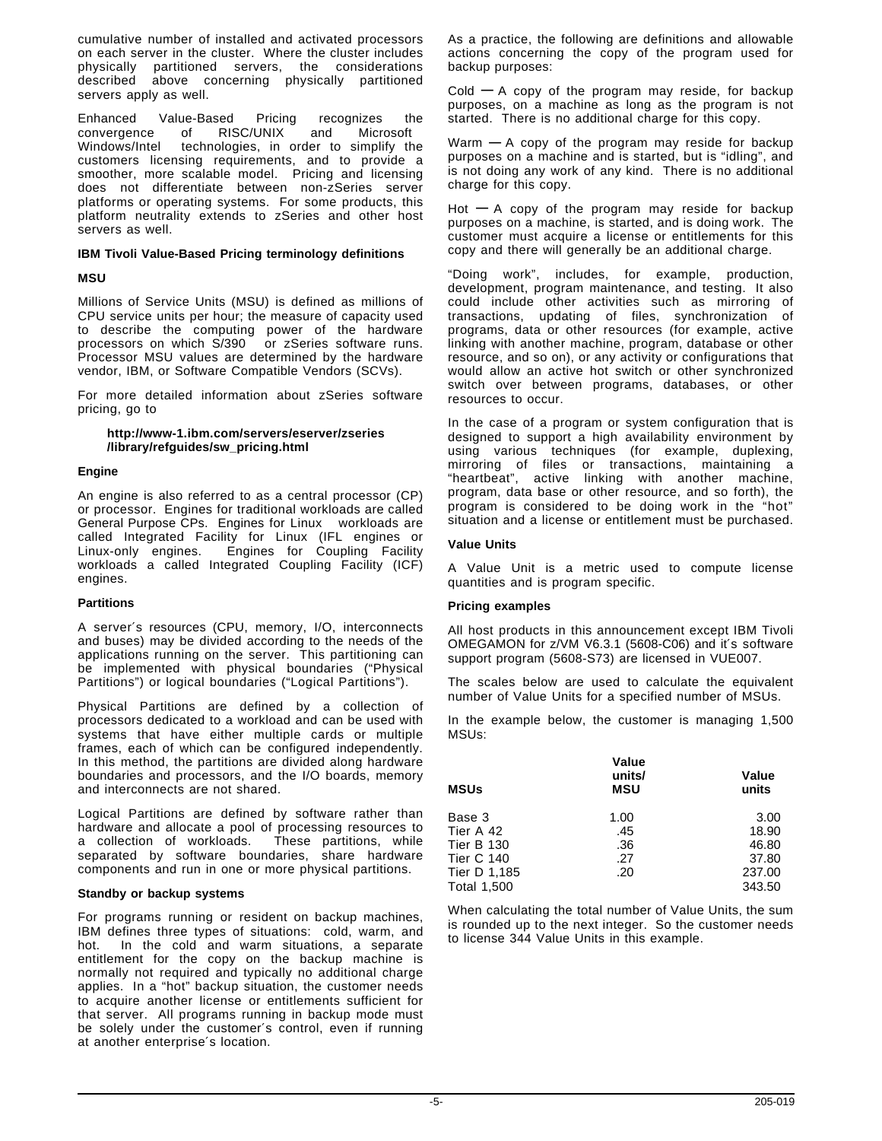cumulative number of installed and activated processors on each server in the cluster. Where the cluster includes physically partitioned servers, the considerations described above concerning physically partitioned servers apply as well.

Enhanced Value-Based Pricing recognizes the<br>convergence of RISC/UNIX and Microsoft™ convergence of Windows/Intel™ technologies, in order to simplify the customers licensing requirements, and to provide a smoother, more scalable model. Pricing and licensing does not differentiate between non-zSeries server platforms or operating systems. For some products, this platform neutrality extends to zSeries and other host servers as well.

#### **IBM Tivoli Value-Based Pricing terminology definitions**

#### **MSU**

Millions of Service Units (MSU) is defined as millions of CPU service units per hour; the measure of capacity used to describe the computing power of the hardware processors on which S/390® or zSeries software runs. Processor MSU values are determined by the hardware vendor, IBM, or Software Compatible Vendors (SCVs).

For more detailed information about zSeries software pricing, go to

#### **http://www-1.ibm.com/servers/eserver/zseries /library/refguides/sw\_pricing.html**

#### **Engine**

An engine is also referred to as a central processor (CP) or processor. Engines for traditional workloads are called General Purpose CPs. Engines for Linux<sup>™</sup> workloads are called Integrated Facility for Linux (IFL engines or Linux-only engines. Engines for Coupling Facility workloads a called Integrated Coupling Facility (ICF) engines.

#### **Partitions**

A server′s resources (CPU, memory, I/O, interconnects and buses) may be divided according to the needs of the applications running on the server. This partitioning can be implemented with physical boundaries ("Physical Partitions") or logical boundaries ("Logical Partitions").

Physical Partitions are defined by a collection of processors dedicated to a workload and can be used with systems that have either multiple cards or multiple frames, each of which can be configured independently. In this method, the partitions are divided along hardware boundaries and processors, and the I/O boards, memory and interconnects are not shared.

Logical Partitions are defined by software rather than hardware and allocate a pool of processing resources to a collection of workloads. These partitions, while a collection of workloads. separated by software boundaries, share hardware components and run in one or more physical partitions.

#### **Standby or backup systems**

For programs running or resident on backup machines, IBM defines three types of situations: cold, warm, and hot. In the cold and warm situations, a separate entitlement for the copy on the backup machine is normally not required and typically no additional charge applies. In a "hot" backup situation, the customer needs to acquire another license or entitlements sufficient for that server. All programs running in backup mode must be solely under the customer′s control, even if running at another enterprise′s location.

As a practice, the following are definitions and allowable actions concerning the copy of the program used for backup purposes:

Cold **—** A copy of the program may reside, for backup purposes, on a machine as long as the program is not started. There is no additional charge for this copy.

Warm **—** A copy of the program may reside for backup purposes on a machine and is started, but is "idling", and is not doing any work of any kind. There is no additional charge for this copy.

Hot **—** A copy of the program may reside for backup purposes on a machine, is started, and is doing work. The customer must acquire a license or entitlements for this copy and there will generally be an additional charge.

"Doing work", includes, for example, production, development, program maintenance, and testing. It also could include other activities such as mirroring of transactions, updating of files, synchronization of programs, data or other resources (for example, active linking with another machine, program, database or other resource, and so on), or any activity or configurations that would allow an active hot switch or other synchronized switch over between programs, databases, or other resources to occur.

In the case of a program or system configuration that is designed to support a high availability environment by using various techniques (for example, duplexing, mirroring of files or transactions, maintaining a "heartbeat", active linking with another machine, program, data base or other resource, and so forth), the program is considered to be doing work in the "hot" situation and a license or entitlement must be purchased.

#### **Value Units**

A Value Unit is a metric used to compute license quantities and is program specific.

#### **Pricing examples**

All host products in this announcement except IBM Tivoli OMEGAMON for z/VM V6.3.1 (5608-C06) and it′s software support program (5608-S73) are licensed in VUE007.

The scales below are used to calculate the equivalent number of Value Units for a specified number of MSUs.

In the example below, the customer is managing 1,500 MSUs:

| <b>MSUs</b>        | Value<br>units/<br><b>MSU</b> | Value<br>units |
|--------------------|-------------------------------|----------------|
| Base 3             | 1.00                          | 3.00           |
| Tier A 42          | .45                           | 18.90          |
| <b>Tier B 130</b>  | .36                           | 46.80          |
| <b>Tier C 140</b>  | .27                           | 37.80          |
| Tier D 1,185       | .20                           | 237.00         |
| <b>Total 1,500</b> |                               | 343.50         |

When calculating the total number of Value Units, the sum is rounded up to the next integer. So the customer needs to license 344 Value Units in this example.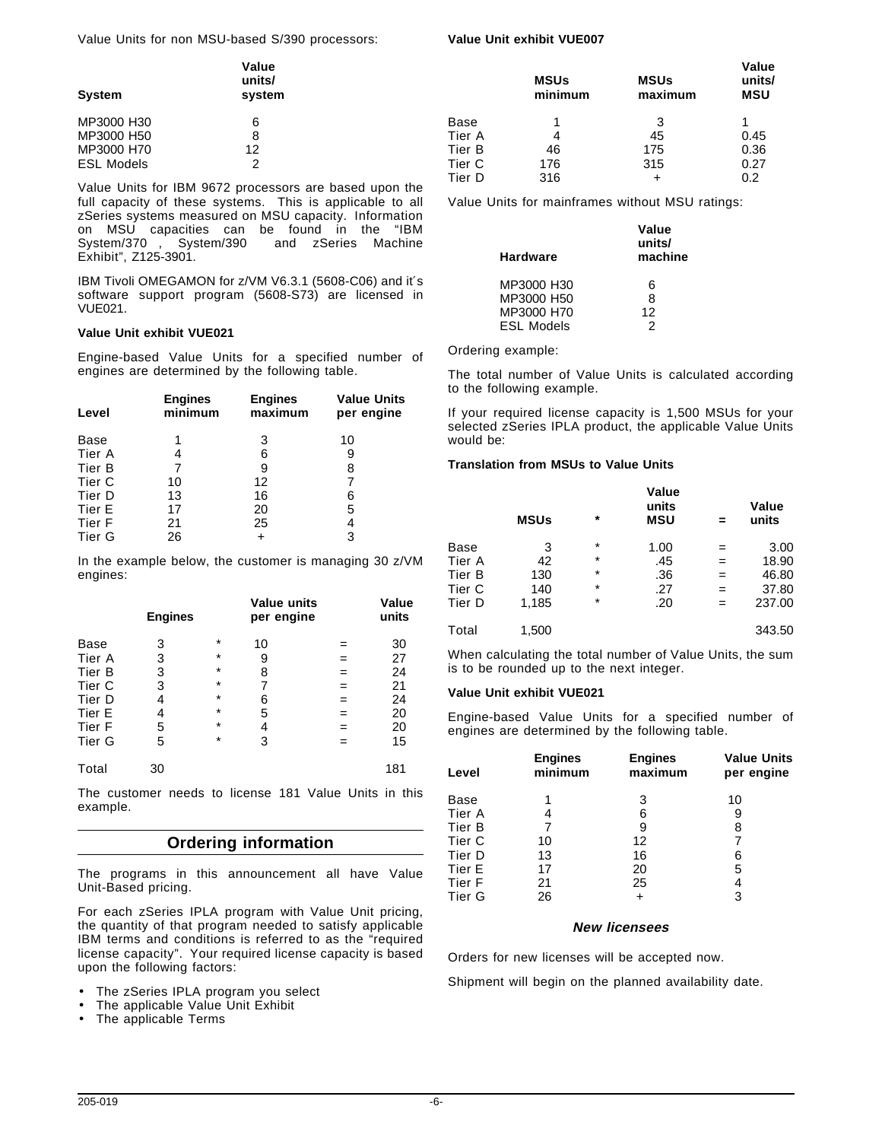Value Units for non MSU-based S/390 processors:

#### **Value Unit exhibit VUE007**

| <b>System</b>     | Value<br>units/<br>system |        | <b>MSUs</b><br>minimum | <b>MSUs</b><br>maximum | Value<br>units/<br><b>MSU</b> |
|-------------------|---------------------------|--------|------------------------|------------------------|-------------------------------|
| MP3000 H30        | 6                         | Base   |                        |                        |                               |
| MP3000 H50        | 8                         | Tier A |                        | 45                     | 0.45                          |
| MP3000 H70        | 12                        | Tier B | 46                     | 175                    | 0.36                          |
| <b>ESL Models</b> | っ                         | Tier C | 176                    | 315                    | 0.27                          |
| .                 |                           | Tier D | 316                    |                        | 0.2                           |

Value Units for IBM 9672 processors are based upon the full capacity of these systems. This is applicable to all zSeries systems measured on MSU capacity. Information on MSU capacities can be found in the "IBM System/370™, System/390® and zSeries Machine Exhibit", Z125-3901.

IBM Tivoli OMEGAMON for z/VM V6.3.1 (5608-C06) and it′s software support program (5608-S73) are licensed in VUE021.

#### **Value Unit exhibit VUE021**

Engine-based Value Units for a specified number of engines are determined by the following table.

| Level  | <b>Engines</b><br>minimum | <b>Engines</b><br>maximum | <b>Value Units</b><br>per engine |
|--------|---------------------------|---------------------------|----------------------------------|
| Base   |                           | 3                         | 10                               |
| Tier A |                           | 6                         | 9                                |
| Tier B |                           | 9                         | 8                                |
| Tier C | 10                        | 12                        |                                  |
| Tier D | 13                        | 16                        | 6                                |
| Tier E | 17                        | 20                        | 5                                |
| Tier F | 21                        | 25                        | 4                                |
| Tier G | 26                        |                           | 3                                |

In the example below, the customer is managing 30 z/VM engines:

|        | <b>Engines</b> |         | Value units<br>per engine |     | Value<br>units |
|--------|----------------|---------|---------------------------|-----|----------------|
| Base   | 3              | $\star$ | 10                        | =   | 30             |
| Tier A | 3              | $\star$ | 9                         | =   | 27             |
| Tier B | 3              | $\star$ | 8                         | =   | 24             |
| Tier C | 3              | $\star$ | 7                         | $=$ | 21             |
| Tier D | 4              | $\star$ | 6                         | $=$ | 24             |
| Tier E | 4              | $\star$ | 5                         | =   | 20             |
| Tier F | 5              | $\star$ | 4                         | $=$ | 20             |
| Tier G | 5              | $\star$ | 3                         | =   | 15             |
| Total  | 30             |         |                           |     | 181            |

The customer needs to license 181 Value Units in this example.

## **Ordering information**

The programs in this announcement all have Value Unit-Based pricing.

For each zSeries IPLA program with Value Unit pricing, the quantity of that program needed to satisfy applicable IBM terms and conditions is referred to as the "required license capacity". Your required license capacity is based upon the following factors:

- The zSeries IPLA program you select
- The applicable Value Unit Exhibit
- The applicable Terms

Value Units for mainframes without MSU ratings:

| <b>Hardware</b>   | Value<br>units/<br>machine |
|-------------------|----------------------------|
| MP3000 H30        | 6                          |
| MP3000 H50        | ጸ                          |
| MP3000 H70        | 12                         |
| <b>ESL Models</b> | 2                          |

Ordering example:

The total number of Value Units is calculated according to the following example.

If your required license capacity is 1,500 MSUs for your selected zSeries IPLA product, the applicable Value Units would be:

#### **Translation from MSUs to Value Units**

|        | <b>MSUs</b> | $^\star$ | Value<br>units<br><b>MSU</b> |     | Value<br>units |
|--------|-------------|----------|------------------------------|-----|----------------|
| Base   | 3           | $^\star$ | 1.00                         | =   | 3.00           |
| Tier A | 42          | $^\star$ | .45                          | $=$ | 18.90          |
| Tier B | 130         | $^\star$ | .36                          | $=$ | 46.80          |
| Tier C | 140         | $^\star$ | .27                          | $=$ | 37.80          |
| Tier D | 1,185       | $\star$  | .20                          | $=$ | 237.00         |
| Total  | 1,500       |          |                              |     | 343.50         |

When calculating the total number of Value Units, the sum is to be rounded up to the next integer.

#### **Value Unit exhibit VUE021**

Engine-based Value Units for a specified number of engines are determined by the following table.

| <b>Engines</b><br>minimum | <b>Engines</b><br>maximum | <b>Value Units</b><br>per engine |
|---------------------------|---------------------------|----------------------------------|
|                           | 3                         | 10                               |
|                           | 6                         | 9                                |
|                           | 9                         | 8                                |
| 10                        | 12                        |                                  |
| 13                        | 16                        | 6                                |
| 17                        | 20                        | 5                                |
| 21                        | 25                        | 4                                |
| 26                        |                           | 3                                |
|                           |                           |                                  |

#### **New licensees**

Orders for new licenses will be accepted now.

Shipment will begin on the planned availability date.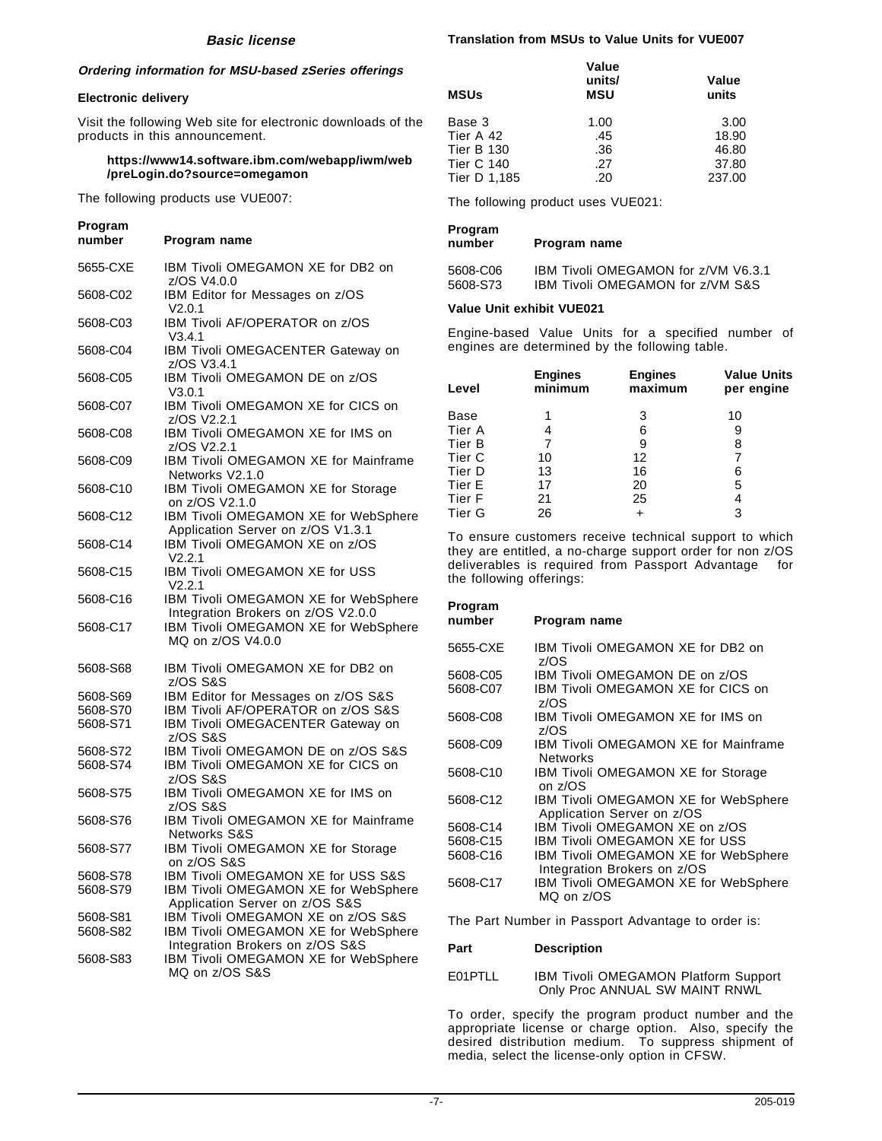#### **Ordering information for MSU-based zSeries offerings**

#### **Electronic delivery**

Visit the following Web site for electronic downloads of the products in this announcement.

#### **https://www14.software.ibm.com/webapp/iwm/web /preLogin.do?source=omegamon**

The following products use VUE007:

## **Program Program name** 5655-CXE IBM Tivoli OMEGAMON XE for DB2 on

|          | z/OS V4.0.0                                                                |
|----------|----------------------------------------------------------------------------|
| 5608-C02 | IBM Editor for Messages on z/OS                                            |
|          | V2.0.1<br>IBM Tivoli AF/OPERATOR on z/OS                                   |
| 5608-C03 | V3.4.1                                                                     |
| 5608-C04 | IBM Tivoli OMEGACENTER Gateway on                                          |
|          | z/OS V3.4.1                                                                |
| 5608-C05 | IBM Tivoli OMEGAMON DE on z/OS<br>V3.0.1                                   |
| 5608-C07 | IBM Tivoli OMEGAMON XE for CICS on<br>z/OS V2.2.1                          |
| 5608-C08 | IBM Tivoli OMEGAMON XE for IMS on                                          |
|          | z/OS V2.2.1<br>IBM Tivoli OMEGAMON XE for Mainframe                        |
| 5608-C09 | Networks V2.1.0                                                            |
| 5608-C10 | IBM Tivoli OMEGAMON XE for Storage<br>on z/OS V2.1.0                       |
| 5608-C12 | IBM Tivoli OMEGAMON XE for WebSphere                                       |
|          | Application Server on z/OS V1.3.1                                          |
| 5608-C14 | IBM Tivoli OMEGAMON XE on z/OS<br>V2.2.1                                   |
| 5608-C15 | IBM Tivoli OMEGAMON XE for USS                                             |
|          | V2.2.1                                                                     |
| 5608-C16 | IBM Tivoli OMEGAMON XE for WebSphere                                       |
| 5608-C17 | Integration Brokers on z/OS V2.0.0<br>IBM Tivoli OMEGAMON XE for WebSphere |
|          | MQ on z/OS V4.0.0                                                          |
|          |                                                                            |
| 5608-S68 | IBM Tivoli OMEGAMON XE for DB2 on<br>z/OS S&S                              |
| 5608-S69 | IBM Editor for Messages on z/OS S&S                                        |
| 5608-S70 | IBM Tivoli AF/OPERATOR on z/OS S&S                                         |
| 5608-S71 | IBM Tivoli OMEGACENTER Gateway on<br>z/OS S&S                              |
| 5608-S72 | IBM Tivoli OMEGAMON DE on z/OS S&S                                         |
| 5608-S74 | IBM Tivoli OMEGAMON XE for CICS on                                         |
| 5608-S75 | z/OS S&S<br>IBM Tivoli OMEGAMON XE for IMS on                              |
|          | z/OS S&S                                                                   |
| 5608-S76 | IBM Tivoli OMEGAMON XE for Mainframe                                       |
|          | <b>Networks S&amp;S</b>                                                    |
| 5608-S77 | IBM Tivoli OMEGAMON XE for Storage<br>on z/OS S&S                          |
| 5608-S78 | IBM Tivoli OMEGAMON XE for USS S&S                                         |
| 5608-S79 | IBM Tivoli OMEGAMON XE for WebSphere                                       |
|          | Application Server on z/OS S&S                                             |
| 5608-S81 | IBM Tivoli OMEGAMON XE on z/OS S&S                                         |
| 5608-S82 | IBM Tivoli OMEGAMON XE for WebSphere                                       |
| 5608-S83 | Integration Brokers on z/OS S&S<br>IBM Tivoli OMEGAMON XE for WebSphere    |
|          | MQ on z/OS S&S                                                             |

#### **Translation from MSUs to Value Units for VUE007**

| <b>MSUs</b>       | Value<br>units/<br><b>MSU</b> | Value<br>units |
|-------------------|-------------------------------|----------------|
| Base 3            | 1.00                          | 3.00           |
| Tier A 42         | .45                           | 18.90          |
| <b>Tier B 130</b> | .36                           | 46.80          |
| <b>Tier C 140</b> | .27                           | 37.80          |
| Tier D 1,185      | .20                           | 237.00         |

The following product uses VUE021:

| Program<br>number | Program name                                |
|-------------------|---------------------------------------------|
| 5608-C06          | IBM Tivoli OMEGAMON for z/VM V6.3.1         |
| 5608-S73          | <b>IBM Tivoli OMEGAMON for z/VM S&amp;S</b> |

#### **Value Unit exhibit VUE021**

Engine-based Value Units for a specified number of engines are determined by the following table.

| Level             | <b>Engines</b><br>minimum | <b>Engines</b><br>maximum | <b>Value Units</b><br>per engine |
|-------------------|---------------------------|---------------------------|----------------------------------|
| Base              |                           | 3                         | 10                               |
| Tier A            |                           | 6                         | 9                                |
| Tier B            |                           | 9                         | 8                                |
| Tier <sub>C</sub> | 10                        | 12                        |                                  |
| Tier D            | 13                        | 16                        | 6                                |
| Tier E            | 17                        | 20                        | 5                                |
| Tier F            | 21                        | 25                        | 4                                |
| Tier G            | 26                        |                           | 3                                |

To ensure customers receive technical support to which they are entitled, a no-charge support order for non z/OS deliverables is required from Passport Advantage<sup>®</sup> for the following offerings:

## **Program**

| number   | Program name                                                               |
|----------|----------------------------------------------------------------------------|
| 5655-CXE | IBM Tivoli OMEGAMON XE for DB2 on<br>z/OS                                  |
| 5608-C05 | IBM Tivoli OMEGAMON DE on z/OS                                             |
| 5608-C07 | IBM Tivoli OMEGAMON XE for CICS on<br>z/OS                                 |
| 5608-C08 | IBM Tivoli OMEGAMON XE for IMS on<br>z/OS                                  |
| 5608-C09 | IBM Tivoli OMEGAMON XE for Mainframe<br><b>Networks</b>                    |
| 5608-C10 | IBM Tivoli OMEGAMON XE for Storage<br>on z/OS                              |
| 5608-C12 | <b>IBM Tivoli OMEGAMON XE for WebSphere</b><br>Application Server on z/OS  |
| 5608-C14 | IBM Tivoli OMEGAMON XE on z/OS                                             |
| 5608-C15 | <b>IBM Tivoli OMEGAMON XE for USS</b>                                      |
| 5608-C16 | <b>IBM Tivoli OMEGAMON XE for WebSphere</b><br>Integration Brokers on z/OS |
| 5608-C17 | IBM Tivoli OMEGAMON XE for WebSphere<br>MQ on z/OS                         |

The Part Number in Passport Advantage to order is:

#### **Part Description**

E01PTLL IBM Tivoli OMEGAMON Platform Support Only Proc ANNUAL SW MAINT RNWL

To order, specify the program product number and the appropriate license or charge option. Also, specify the desired distribution medium. To suppress shipment of media, select the license-only option in CFSW.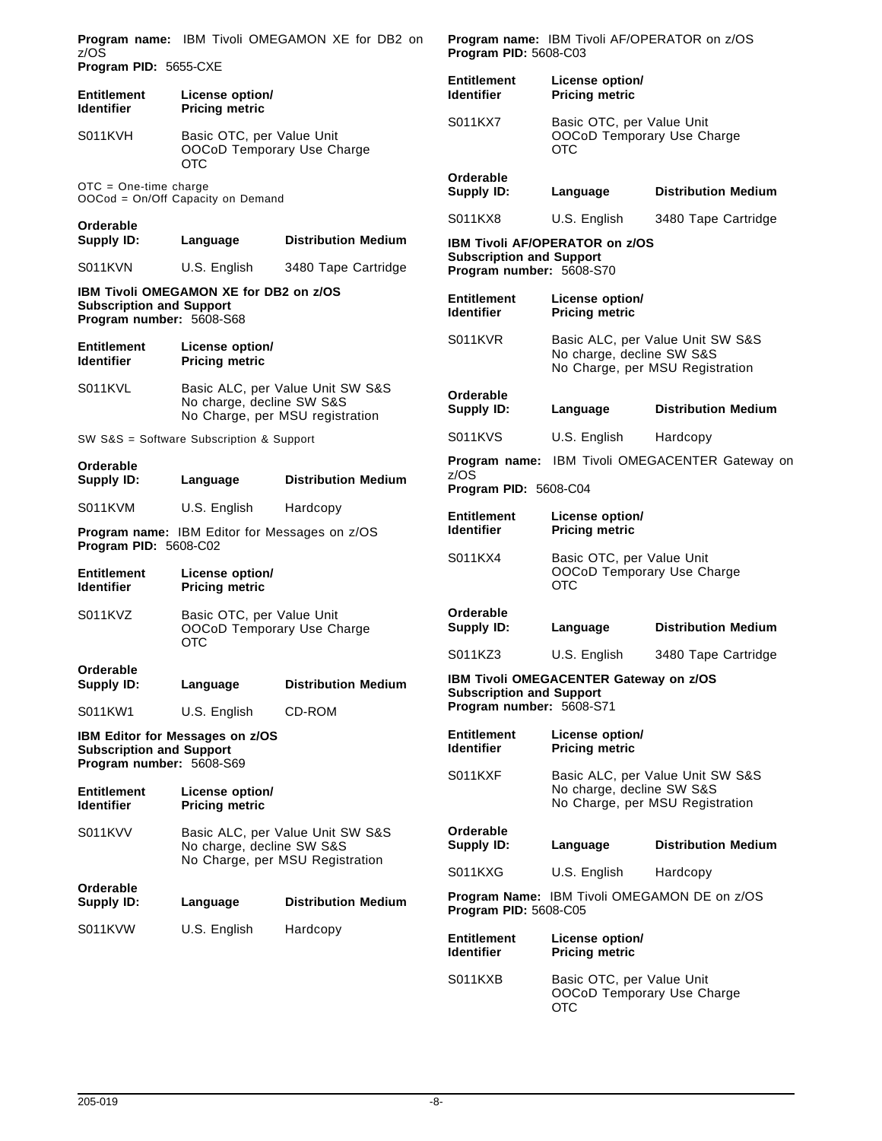| z/OS                                                        |                                                                | Program name: IBM Tivoli OMEGAMON XE for DB2 on                     | Program PID: 5608-C03                   |                                                                       | Program name: IBM Tivoli AF/OPERATOR on z/OS                        |
|-------------------------------------------------------------|----------------------------------------------------------------|---------------------------------------------------------------------|-----------------------------------------|-----------------------------------------------------------------------|---------------------------------------------------------------------|
| <b>Entitlement</b>                                          | Program PID: 5655-CXE<br>License option/                       |                                                                     | <b>Entitlement</b><br><b>Identifier</b> | License option/<br><b>Pricing metric</b>                              |                                                                     |
| <b>Pricing metric</b><br><b>Identifier</b>                  |                                                                |                                                                     |                                         |                                                                       |                                                                     |
| S011KVH                                                     | Basic OTC, per Value Unit<br>OOCoD Temporary Use Charge<br>OTC |                                                                     | S011KX7                                 | Basic OTC, per Value Unit<br>OOCoD Temporary Use Charge<br>OTC        |                                                                     |
| $OTC = One-time charge$                                     | OOCod = On/Off Capacity on Demand                              |                                                                     | Orderable<br>Supply ID:                 | Language                                                              | <b>Distribution Medium</b>                                          |
| Orderable                                                   |                                                                |                                                                     | S011KX8                                 | U.S. English                                                          | 3480 Tape Cartridge                                                 |
| Supply ID:                                                  | Language                                                       | <b>Distribution Medium</b>                                          | <b>Subscription and Support</b>         | <b>IBM Tivoli AF/OPERATOR on z/OS</b>                                 |                                                                     |
| S011KVN                                                     | U.S. English                                                   | 3480 Tape Cartridge                                                 | Program number: 5608-S70                |                                                                       |                                                                     |
| <b>Subscription and Support</b><br>Program number: 5608-S68 | IBM Tivoli OMEGAMON XE for DB2 on z/OS                         |                                                                     | <b>Entitlement</b><br><b>Identifier</b> | License option/<br><b>Pricing metric</b>                              |                                                                     |
| <b>Entitlement</b><br><b>Identifier</b>                     | License option/<br><b>Pricing metric</b>                       |                                                                     | S011KVR                                 | No charge, decline SW S&S                                             | Basic ALC, per Value Unit SW S&S<br>No Charge, per MSU Registration |
| S011KVL                                                     | No charge, decline SW S&S                                      | Basic ALC, per Value Unit SW S&S<br>No Charge, per MSU registration | Orderable<br>Supply ID:                 | Language                                                              | <b>Distribution Medium</b>                                          |
|                                                             | SW S&S = Software Subscription & Support                       |                                                                     | S011KVS                                 | U.S. English                                                          | Hardcopy                                                            |
| Orderable                                                   |                                                                |                                                                     | z/OS                                    |                                                                       | <b>Program name:</b> IBM Tivoli OMEGACENTER Gateway on              |
| <b>Supply ID:</b>                                           | Language                                                       | <b>Distribution Medium</b>                                          | Program PID: 5608-C04                   |                                                                       |                                                                     |
| S011KVM                                                     | U.S. English                                                   | Hardcopy<br><b>Program name: IBM Editor for Messages on z/OS</b>    | <b>Entitlement</b><br><b>Identifier</b> | License option/<br><b>Pricing metric</b>                              |                                                                     |
| Program PID: 5608-C02                                       |                                                                |                                                                     |                                         |                                                                       |                                                                     |
| <b>Entitlement</b><br><b>Identifier</b>                     | License option/<br><b>Pricing metric</b>                       |                                                                     | S011KX4                                 | Basic OTC, per Value Unit<br>OOCoD Temporary Use Charge<br><b>OTC</b> |                                                                     |
| S011KVZ                                                     | Basic OTC, per Value Unit<br>OTC                               | OOCoD Temporary Use Charge                                          | Orderable<br>Supply ID:                 | Language                                                              | <b>Distribution Medium</b>                                          |
|                                                             |                                                                |                                                                     | S011KZ3                                 | U.S. English                                                          | 3480 Tape Cartridge                                                 |
| Orderable<br><b>Supply ID:</b>                              | Language                                                       | <b>Distribution Medium</b>                                          | <b>Subscription and Support</b>         | IBM Tivoli OMEGACENTER Gateway on z/OS                                |                                                                     |
| S011KW1                                                     | U.S. English                                                   | CD-ROM                                                              | Program number: 5608-S71                |                                                                       |                                                                     |
| <b>Subscription and Support</b><br>Program number: 5608-S69 | <b>IBM Editor for Messages on z/OS</b>                         |                                                                     | <b>Entitlement</b><br><b>Identifier</b> | License option/<br><b>Pricing metric</b>                              |                                                                     |
| <b>Entitlement</b><br><b>Identifier</b>                     | License option/<br><b>Pricing metric</b>                       |                                                                     | S011KXF                                 | No charge, decline SW S&S                                             | Basic ALC, per Value Unit SW S&S<br>No Charge, per MSU Registration |
| S011KVV                                                     | No charge, decline SW S&S                                      | Basic ALC, per Value Unit SW S&S                                    | Orderable<br>Supply ID:                 | Language                                                              | <b>Distribution Medium</b>                                          |
|                                                             |                                                                | No Charge, per MSU Registration                                     | S011KXG                                 | U.S. English                                                          | Hardcopy                                                            |
| Orderable<br>Supply ID:                                     | Language                                                       | <b>Distribution Medium</b>                                          | Program PID: 5608-C05                   |                                                                       | <b>Program Name: IBM Tivoli OMEGAMON DE on z/OS</b>                 |
| S011KVW                                                     | U.S. English                                                   | Hardcopy                                                            | <b>Entitlement</b><br><b>Identifier</b> | License option/<br><b>Pricing metric</b>                              |                                                                     |
|                                                             |                                                                |                                                                     | S011KXB                                 | Basic OTC, per Value Unit<br>OOCoD Temporary Use Charge<br><b>OTC</b> |                                                                     |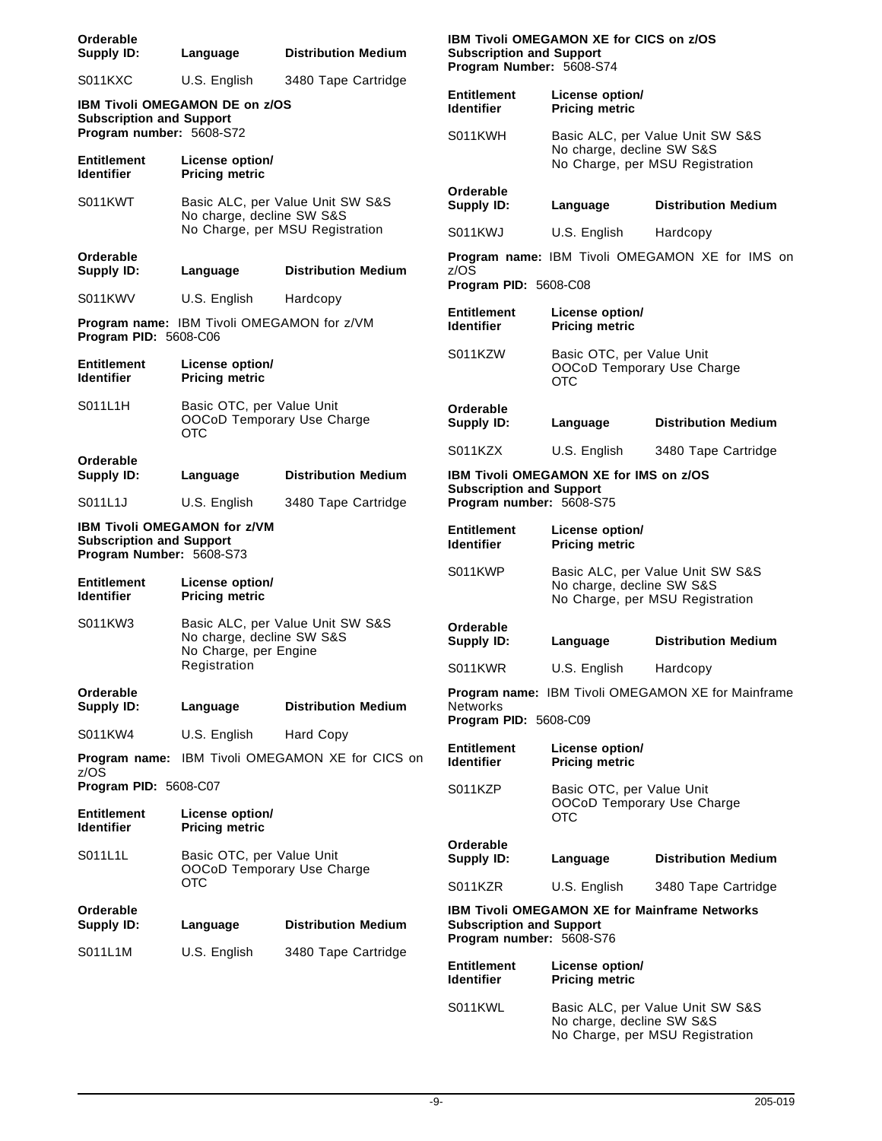| Orderable<br>Supply ID:                                     | Language                                                              | <b>Distribution Medium</b>                       | <b>Subscription and Support</b><br>Program Number: 5608-S74               | <b>IBM Tivoli OMEGAMON XE for CICS on z/OS</b> |                                                                     |
|-------------------------------------------------------------|-----------------------------------------------------------------------|--------------------------------------------------|---------------------------------------------------------------------------|------------------------------------------------|---------------------------------------------------------------------|
| S011KXC                                                     | U.S. English                                                          | 3480 Tape Cartridge                              |                                                                           |                                                |                                                                     |
| <b>Subscription and Support</b>                             | <b>IBM Tivoli OMEGAMON DE on z/OS</b>                                 |                                                  | <b>Entitlement</b><br><b>Identifier</b>                                   | License option/<br><b>Pricing metric</b>       |                                                                     |
| Program number: 5608-S72<br><b>Entitlement</b>              | License option/                                                       |                                                  | S011KWH                                                                   | No charge, decline SW S&S                      | Basic ALC, per Value Unit SW S&S<br>No Charge, per MSU Registration |
| <b>Identifier</b>                                           | <b>Pricing metric</b>                                                 |                                                  |                                                                           |                                                |                                                                     |
| S011KWT                                                     | No charge, decline SW S&S                                             | Basic ALC, per Value Unit SW S&S                 | Orderable<br>Supply ID:                                                   | Language                                       | <b>Distribution Medium</b>                                          |
|                                                             |                                                                       | No Charge, per MSU Registration                  | S011KWJ                                                                   | U.S. English                                   | Hardcopy                                                            |
| Orderable<br>Supply ID:                                     | Language                                                              | <b>Distribution Medium</b>                       | z/OS                                                                      |                                                | Program name: IBM Tivoli OMEGAMON XE for IMS on                     |
| S011KWV                                                     | U.S. English                                                          | Hardcopy                                         | Program PID: 5608-C08                                                     |                                                |                                                                     |
| Program PID: 5608-C06                                       | Program name: IBM Tivoli OMEGAMON for z/VM                            |                                                  | <b>Entitlement</b><br><b>Identifier</b>                                   | License option/<br><b>Pricing metric</b>       |                                                                     |
| <b>Entitlement</b><br><b>Identifier</b>                     | License option/<br><b>Pricing metric</b>                              |                                                  | S011KZW                                                                   | Basic OTC, per Value Unit<br><b>OTC</b>        | OOCoD Temporary Use Charge                                          |
| S011L1H                                                     | Basic OTC, per Value Unit<br>OOCoD Temporary Use Charge<br><b>OTC</b> |                                                  | Orderable<br>Supply ID:                                                   | Language                                       | <b>Distribution Medium</b>                                          |
|                                                             |                                                                       |                                                  | S011KZX                                                                   | U.S. English                                   | 3480 Tape Cartridge                                                 |
| Orderable<br>Supply ID:                                     | Language                                                              | <b>Distribution Medium</b>                       | IBM Tivoli OMEGAMON XE for IMS on z/OS<br><b>Subscription and Support</b> |                                                |                                                                     |
| S011L1J                                                     | U.S. English                                                          | 3480 Tape Cartridge                              | Program number: 5608-S75                                                  |                                                |                                                                     |
| <b>Subscription and Support</b><br>Program Number: 5608-S73 | <b>IBM Tivoli OMEGAMON for z/VM</b>                                   |                                                  | <b>Entitlement</b><br><b>Identifier</b>                                   | License option/<br><b>Pricing metric</b>       |                                                                     |
| <b>Entitlement</b><br><b>Identifier</b>                     | License option/<br><b>Pricing metric</b>                              |                                                  | S011KWP                                                                   | No charge, decline SW S&S                      | Basic ALC, per Value Unit SW S&S<br>No Charge, per MSU Registration |
| S011KW3                                                     | No charge, decline SW S&S<br>No Charge, per Engine                    | Basic ALC, per Value Unit SW S&S                 | Orderable<br>Supply ID:                                                   | Language                                       | <b>Distribution Medium</b>                                          |
|                                                             | Registration                                                          |                                                  | S011KWR                                                                   | U.S. English                                   | Hardcopy                                                            |
| Orderable<br>Supply ID:                                     | Language                                                              | <b>Distribution Medium</b>                       | <b>Networks</b>                                                           |                                                | Program name: IBM Tivoli OMEGAMON XE for Mainframe                  |
| S011KW4                                                     | U.S. English                                                          | Hard Copy                                        | Program PID: 5608-C09                                                     |                                                |                                                                     |
| z/OS                                                        |                                                                       | Program name: IBM Tivoli OMEGAMON XE for CICS on | <b>Entitlement</b><br><b>Identifier</b>                                   | License option/<br><b>Pricing metric</b>       |                                                                     |
| Program PID: 5608-C07                                       |                                                                       |                                                  | S011KZP                                                                   | Basic OTC, per Value Unit                      |                                                                     |
| <b>Entitlement</b><br><b>Identifier</b>                     | License option/<br><b>Pricing metric</b>                              |                                                  |                                                                           | OTC                                            | OOCoD Temporary Use Charge                                          |
| S011L1L                                                     | Basic OTC, per Value Unit<br>OOCoD Temporary Use Charge               |                                                  | Orderable<br>Supply ID:                                                   | Language                                       | <b>Distribution Medium</b>                                          |
|                                                             | <b>OTC</b>                                                            |                                                  | S011KZR                                                                   | U.S. English                                   | 3480 Tape Cartridge                                                 |
| Orderable<br>Supply ID:                                     | Language                                                              | <b>Distribution Medium</b>                       | <b>Subscription and Support</b><br>Program number: 5608-S76               |                                                | <b>IBM Tivoli OMEGAMON XE for Mainframe Networks</b>                |
| S011L1M                                                     | U.S. English                                                          | 3480 Tape Cartridge                              | <b>Entitlement</b><br><b>Identifier</b>                                   | License option/<br><b>Pricing metric</b>       |                                                                     |
|                                                             |                                                                       |                                                  | S011KWL                                                                   | No charge, decline SW S&S                      | Basic ALC, per Value Unit SW S&S<br>No Charge, per MSU Registration |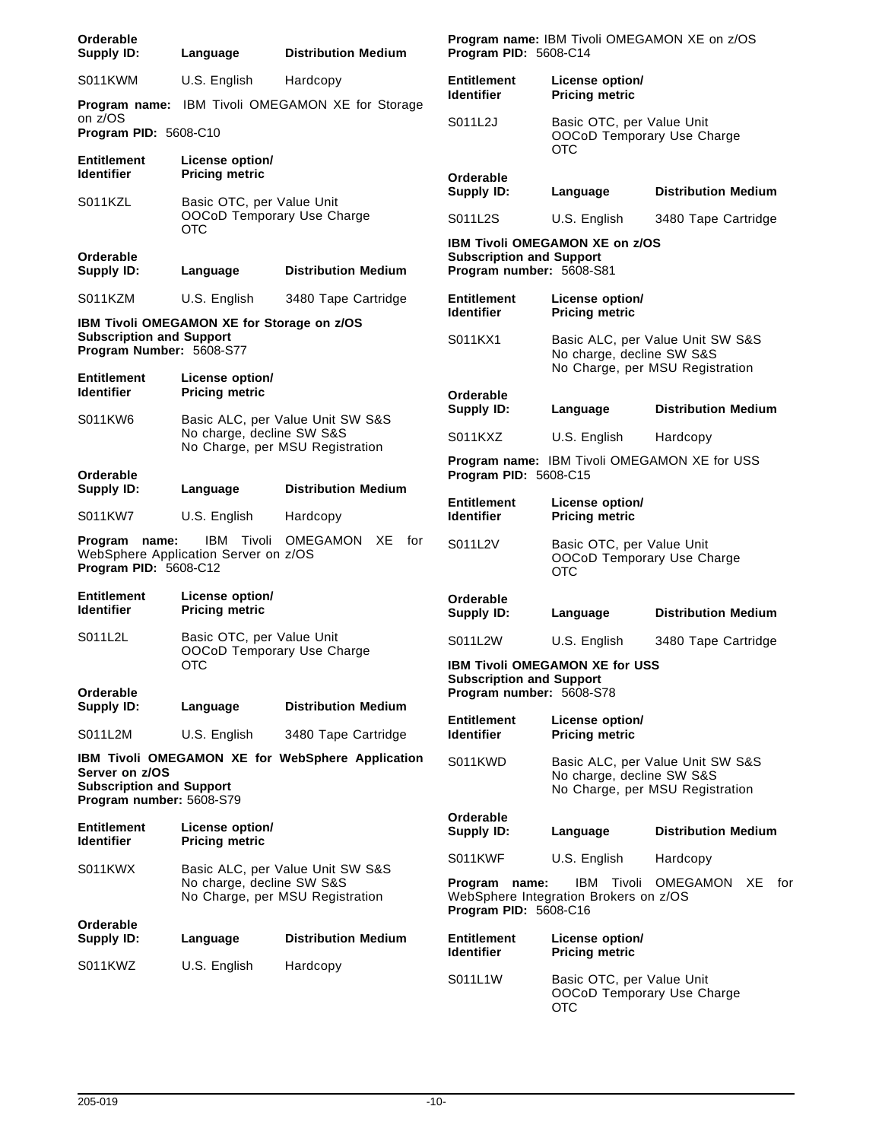| Orderable<br>Supply ID:                                                       | Language                                                     | <b>Distribution Medium</b>                              | Program PID: 5608-C14                                       |                                                                                                | <b>Program name: IBM Tivoli OMEGAMON XE on z/OS</b>                 |
|-------------------------------------------------------------------------------|--------------------------------------------------------------|---------------------------------------------------------|-------------------------------------------------------------|------------------------------------------------------------------------------------------------|---------------------------------------------------------------------|
| S011KWM                                                                       | U.S. English                                                 | Hardcopy                                                | <b>Entitlement</b><br><b>Identifier</b>                     | License option/<br><b>Pricing metric</b>                                                       |                                                                     |
| on z/OS<br>Program PID: 5608-C10                                              |                                                              | Program name: IBM Tivoli OMEGAMON XE for Storage        | S011L2J                                                     | Basic OTC, per Value Unit<br>OOCoD Temporary Use Charge                                        |                                                                     |
| <b>Entitlement</b><br><b>Identifier</b>                                       | License option/<br><b>Pricing metric</b>                     |                                                         | Orderable                                                   | <b>OTC</b>                                                                                     |                                                                     |
| S011KZL                                                                       | Basic OTC, per Value Unit<br>OOCoD Temporary Use Charge      |                                                         | Supply ID:<br>S011L2S                                       | Language<br>U.S. English                                                                       | <b>Distribution Medium</b><br>3480 Tape Cartridge                   |
|                                                                               | OTC                                                          |                                                         |                                                             | <b>IBM Tivoli OMEGAMON XE on z/OS</b>                                                          |                                                                     |
| Orderable<br><b>Supply ID:</b>                                                | Language                                                     | <b>Distribution Medium</b>                              | <b>Subscription and Support</b><br>Program number: 5608-S81 |                                                                                                |                                                                     |
| S011KZM                                                                       | U.S. English                                                 | 3480 Tape Cartridge                                     | <b>Entitlement</b><br><b>Identifier</b>                     | License option/<br><b>Pricing metric</b>                                                       |                                                                     |
| <b>Subscription and Support</b><br>Program Number: 5608-S77                   | IBM Tivoli OMEGAMON XE for Storage on z/OS                   |                                                         | S011KX1                                                     | No charge, decline SW S&S                                                                      | Basic ALC, per Value Unit SW S&S<br>No Charge, per MSU Registration |
| Entitlement<br><b>Identifier</b>                                              | License option/<br><b>Pricing metric</b>                     |                                                         | Orderable<br><b>Supply ID:</b>                              | Language                                                                                       | <b>Distribution Medium</b>                                          |
| S011KW6                                                                       | No charge, decline SW S&S                                    | Basic ALC, per Value Unit SW S&S                        | S011KXZ                                                     | U.S. English                                                                                   | Hardcopy                                                            |
| Orderable                                                                     |                                                              | No Charge, per MSU Registration                         | Program PID: 5608-C15                                       |                                                                                                | Program name: IBM Tivoli OMEGAMON XE for USS                        |
| <b>Supply ID:</b>                                                             | Language                                                     | <b>Distribution Medium</b>                              | <b>Entitlement</b>                                          | License option/                                                                                |                                                                     |
| S011KW7                                                                       | U.S. English                                                 | Hardcopy                                                | <b>Identifier</b>                                           | <b>Pricing metric</b>                                                                          |                                                                     |
| Program name:<br>Program PID: 5608-C12                                        | IBM Tivoli<br>WebSphere Application Server on z/OS           | OMEGAMON XE<br>for                                      | S011L2V                                                     | Basic OTC, per Value Unit<br>OOCoD Temporary Use Charge<br>OTC                                 |                                                                     |
| Entitlement<br><b>Identifier</b>                                              | License option/<br><b>Pricing metric</b>                     |                                                         | Orderable<br>Supply ID:                                     | Language                                                                                       | <b>Distribution Medium</b>                                          |
| S011L2L                                                                       | Basic OTC, per Value Unit<br>OOCoD Temporary Use Charge      |                                                         | S011L2W                                                     | U.S. English                                                                                   | 3480 Tape Cartridge                                                 |
|                                                                               | <b>OTC</b>                                                   |                                                         | <b>Subscription and Support</b>                             | <b>IBM Tivoli OMEGAMON XE for USS</b>                                                          |                                                                     |
| Orderable<br>Supply ID:                                                       | Language                                                     | <b>Distribution Medium</b>                              | Program number: 5608-S78                                    |                                                                                                |                                                                     |
| S011L2M                                                                       | U.S. English                                                 | 3480 Tape Cartridge                                     | <b>Entitlement</b><br><b>Identifier</b>                     | License option/<br><b>Pricing metric</b>                                                       |                                                                     |
| Server on z/OS<br><b>Subscription and Support</b><br>Program number: 5608-S79 |                                                              | <b>IBM Tivoli OMEGAMON XE for WebSphere Application</b> | S011KWD                                                     | No charge, decline SW S&S                                                                      | Basic ALC, per Value Unit SW S&S<br>No Charge, per MSU Registration |
| Entitlement<br><b>Identifier</b>                                              | License option/<br><b>Pricing metric</b>                     |                                                         | Orderable<br>Supply ID:                                     | Language                                                                                       | <b>Distribution Medium</b>                                          |
| S011KWX                                                                       |                                                              | Basic ALC, per Value Unit SW S&S                        | S011KWF                                                     | U.S. English                                                                                   | Hardcopy                                                            |
|                                                                               | No charge, decline SW S&S<br>No Charge, per MSU Registration |                                                         | Program name:<br>Program PID: 5608-C16                      | WebSphere Integration Brokers on z/OS                                                          | IBM Tivoli OMEGAMON<br>XE for                                       |
| Orderable<br>Supply ID:                                                       | Language                                                     | <b>Distribution Medium</b>                              | <b>Entitlement</b>                                          | License option/                                                                                |                                                                     |
| S011KWZ                                                                       | U.S. English                                                 | Hardcopy                                                | <b>Identifier</b><br>S011L1W                                | <b>Pricing metric</b><br>Basic OTC, per Value Unit<br>OOCoD Temporary Use Charge<br><b>OTC</b> |                                                                     |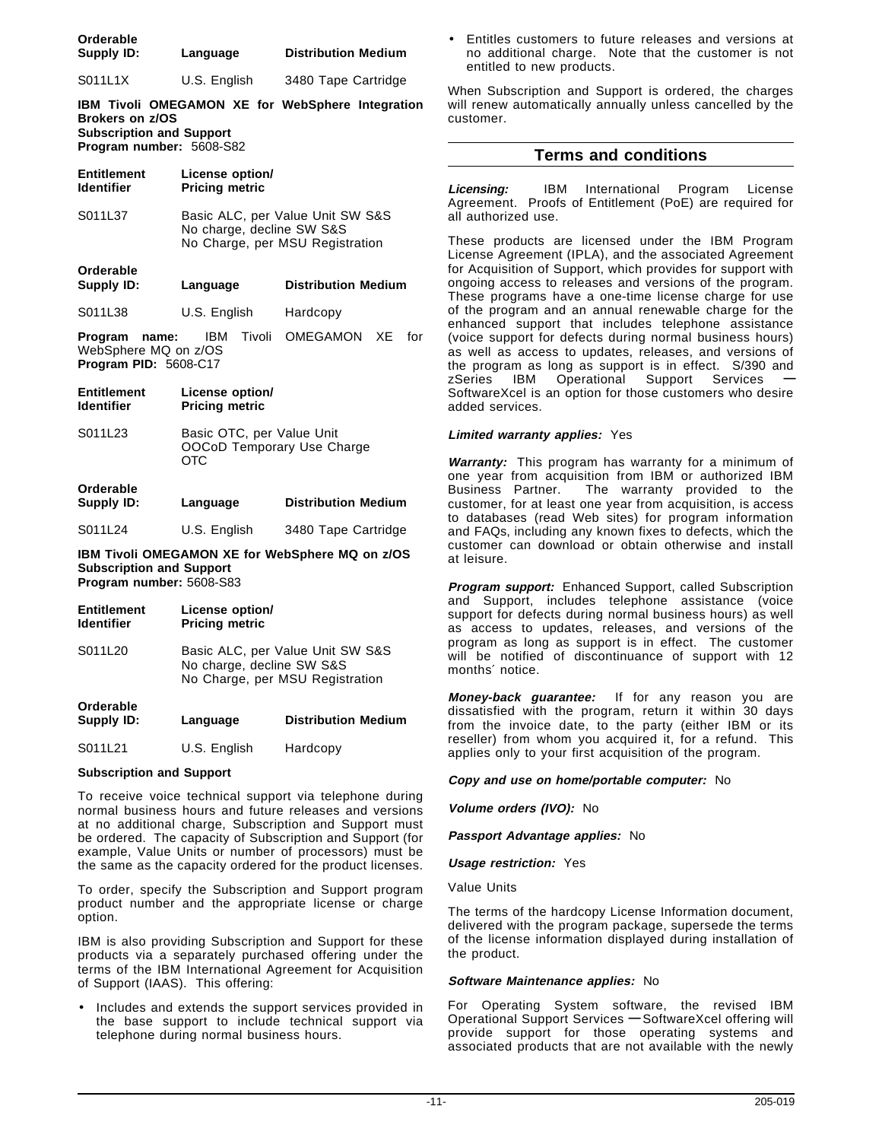| Orderable<br>Supply ID:                                                               | Language                                                        | <b>Distribution Medium</b>                                          |
|---------------------------------------------------------------------------------------|-----------------------------------------------------------------|---------------------------------------------------------------------|
| S011L1X                                                                               | U.S. English                                                    | 3480 Tape Cartridge                                                 |
| <b>Brokers on z/OS</b><br><b>Subscription and Support</b><br>Program number: 5608-S82 |                                                                 | IBM Tivoli OMEGAMON XE for WebSphere Integration                    |
| <b>Entitlement</b><br><b>Identifier</b>                                               | License option/<br><b>Pricing metric</b>                        |                                                                     |
| S011L37                                                                               | No charge, decline SW S&S                                       | Basic ALC, per Value Unit SW S&S<br>No Charge, per MSU Registration |
| Orderable<br><b>Supply ID:</b>                                                        | Language                                                        | <b>Distribution Medium</b>                                          |
| S011L38                                                                               | U.S. English                                                    | Hardcopy                                                            |
| Program name:<br>WebSphere MQ on z/OS<br>Program PID: 5608-C17                        | IBM                                                             | Tivoli OMEGAMON XE<br>for                                           |
| <b>Entitlement</b><br><b>Identifier</b>                                               | License option/<br><b>Pricing metric</b>                        |                                                                     |
| S011L23                                                                               | Basic OTC, per Value Unit<br>OOCoD Temporary Use Charge<br>OTC. |                                                                     |
| Orderable<br>Supply ID:                                                               | Language                                                        | <b>Distribution Medium</b>                                          |
| S011L24                                                                               | U.S. English                                                    | 3480 Tape Cartridge                                                 |
| <b>Subscription and Support</b><br>Program number: 5608-S83                           |                                                                 | IBM Tivoli OMEGAMON XE for WebSphere MQ on z/OS                     |
| <b>Entitlement</b><br><b>Identifier</b>                                               | License option/<br><b>Pricing metric</b>                        |                                                                     |
| S011L20                                                                               | No charge, decline SW S&S                                       | Basic ALC, per Value Unit SW S&S<br>No Charge, per MSU Registration |
| Orderable<br><b>Supply ID:</b>                                                        | Language                                                        | <b>Distribution Medium</b>                                          |

|         |              | ----------------- |
|---------|--------------|-------------------|
| S011L21 | U.S. English | Hardcopy          |

#### **Subscription and Support**

To receive voice technical support via telephone during normal business hours and future releases and versions at no additional charge, Subscription and Support must be ordered. The capacity of Subscription and Support (for example, Value Units or number of processors) must be the same as the capacity ordered for the product licenses.

To order, specify the Subscription and Support program product number and the appropriate license or charge option.

IBM is also providing Subscription and Support for these products via a separately purchased offering under the terms of the IBM International Agreement for Acquisition of Support (IAAS). This offering:

• Includes and extends the support services provided in the base support to include technical support via telephone during normal business hours.

• Entitles customers to future releases and versions at no additional charge. Note that the customer is not entitled to new products.

When Subscription and Support is ordered, the charges will renew automatically annually unless cancelled by the customer.

#### **Terms and conditions**

**Licensing:** IBM International Program License Agreement. Proofs of Entitlement (PoE) are required for all authorized use.

These products are licensed under the IBM Program License Agreement (IPLA), and the associated Agreement for Acquisition of Support, which provides for support with ongoing access to releases and versions of the program. These programs have a one-time license charge for use of the program and an annual renewable charge for the enhanced support that includes telephone assistance (voice support for defects during normal business hours) as well as access to updates, releases, and versions of the program as long as support is in effect. S/390 and zSeries IBM Operational Support Services **—** SoftwareXcel is an option for those customers who desire added services.

#### **Limited warranty applies:** Yes

**Warranty:** This program has warranty for a minimum of one year from acquisition from IBM or authorized IBM<br>Business Partner. The warranty provided to the The warranty provided to the customer, for at least one year from acquisition, is access to databases (read Web sites) for program information and FAQs, including any known fixes to defects, which the customer can download or obtain otherwise and install at leisure.

**Program support:** Enhanced Support, called Subscription and Support, includes telephone assistance (voice support for defects during normal business hours) as well as access to updates, releases, and versions of the program as long as support is in effect. The customer will be notified of discontinuance of support with 12 months′ notice.

**Money-back guarantee:** If for any reason you are dissatisfied with the program, return it within 30 days from the invoice date, to the party (either IBM or its reseller) from whom you acquired it, for a refund. This applies only to your first acquisition of the program.

#### **Copy and use on home/portable computer:** No

**Volume orders (IVO):** No

**Passport Advantage applies:** No

**Usage restriction:** Yes

Value Units

The terms of the hardcopy License Information document, delivered with the program package, supersede the terms of the license information displayed during installation of the product.

#### **Software Maintenance applies:** No

For Operating System software, the revised IBM Operational Support Services **—** SoftwareXcel offering will provide support for those operating systems and associated products that are not available with the newly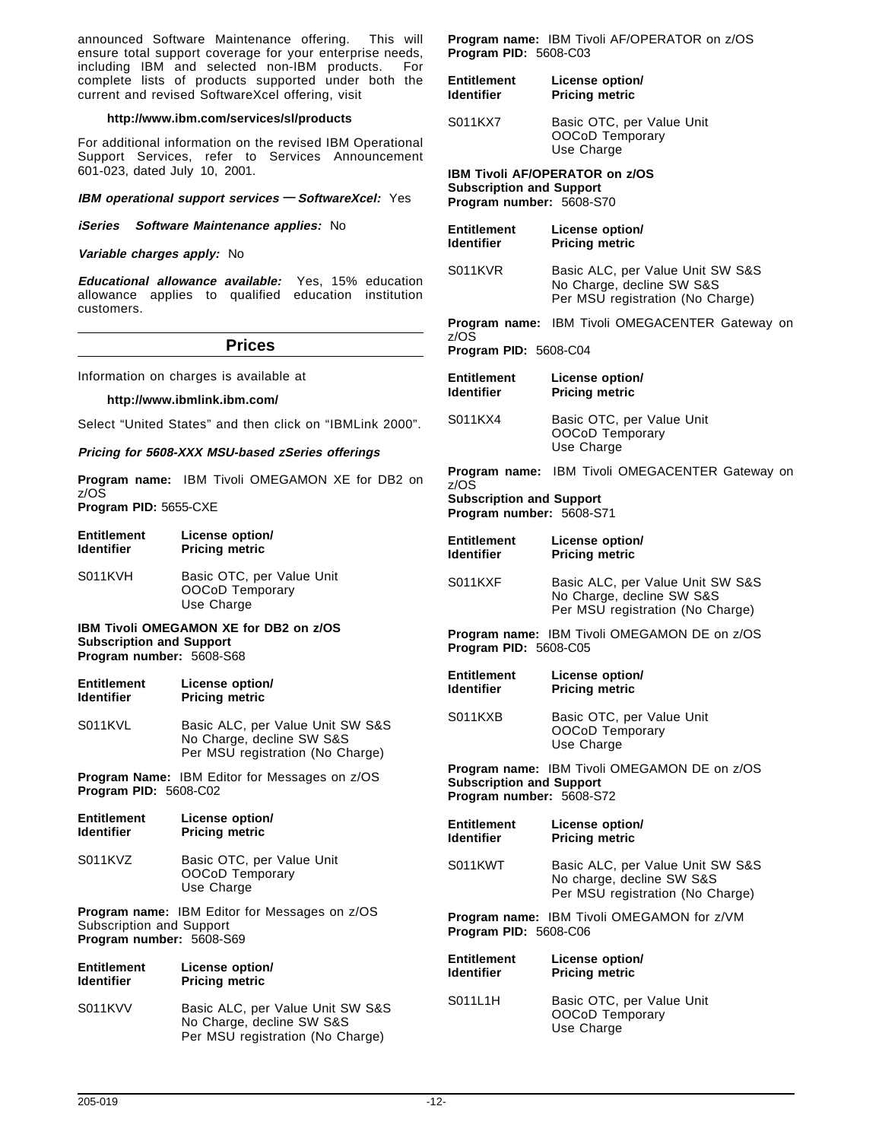announced Software Maintenance offering. This will ensure total support coverage for your enterprise needs, including IBM and selected non-IBM products. For complete lists of products supported under both the current and revised SoftwareXcel offering, visit

#### **http://www.ibm.com/services/sl/products**

For additional information on the revised IBM Operational Support Services, refer to Services Announcement 601-023, dated July 10, 2001.

**IBM operational support services — SoftwareXcel:** Yes

**iSeries Software Maintenance applies:** No

**Variable charges apply:** No

**Educational allowance available:** Yes, 15% education allowance applies to qualified education institution customers.

#### **Prices**

Information on charges is available at

#### **http://www.ibmlink.ibm.com/**

Select "United States" and then click on "IBMLink 2000".

**Pricing for 5608-XXX MSU-based zSeries offerings**

**Program name:** IBM Tivoli OMEGAMON XE for DB2 on z/OS **Program PID:** 5655-CXE

| Entitlement                                                 | License option/                                            |
|-------------------------------------------------------------|------------------------------------------------------------|
| ldentifier                                                  | <b>Pricing metric</b>                                      |
| S011KVH                                                     | Basic OTC, per Value Unit<br>OOCoD Temporary<br>Use Charge |
| <b>Subscription and Support</b><br>Program number: 5608-S68 | <b>IBM Tivoli OMEGAMON XE for DB2 on z/OS</b>              |
| Entitlement                                                 | License option/                                            |
| ldentifier                                                  | <b>Pricing metric</b>                                      |

S011KVL Basic ALC, per Value Unit SW S&S No Charge, decline SW S&S Per MSU registration (No Charge)

**Program Name:** IBM Editor for Messages on z/OS **Program PID:** 5608-C02

| <b>Entitlement</b><br><b>Identifier</b> | License option/<br><b>Pricing metric</b>                   |
|-----------------------------------------|------------------------------------------------------------|
| S011KVZ                                 | Basic OTC, per Value Unit<br>OOCoD Temporary<br>Use Charge |
| <b>Subscription and Support</b>         | <b>Program name:</b> IBM Editor for Messages on z/OS       |

**Program number:** 5608-S69

| Entitlement | License option/                                                                                   |
|-------------|---------------------------------------------------------------------------------------------------|
| ldentifier  | <b>Pricing metric</b>                                                                             |
| S011KVV     | Basic ALC, per Value Unit SW S&S<br>No Charge, decline SW S&S<br>Per MSU registration (No Charge) |

**Program name:** IBM Tivoli AF/OPERATOR on z/OS **Program PID:** 5608-C03

| <b>Entitlement</b> | License option/                                            |
|--------------------|------------------------------------------------------------|
| <b>Identifier</b>  | <b>Pricing metric</b>                                      |
| S011KX7            | Basic OTC, per Value Unit<br>OOCoD Temporary<br>Use Charge |

#### **IBM Tivoli AF/OPERATOR on z/OS**

**Subscription and Support Program number:** 5608-S70

| <b>Entitlement</b><br><b>Identifier</b>                             | License option/<br><b>Pricing metric</b>                                                          |
|---------------------------------------------------------------------|---------------------------------------------------------------------------------------------------|
| S011KVR                                                             | Basic ALC, per Value Unit SW S&S<br>No Charge, decline SW S&S<br>Per MSU registration (No Charge) |
| Program name:                                                       | IBM Tivoli OMEGACENTER Gateway on                                                                 |
| z/OS<br>Program PID: 5608-C04                                       |                                                                                                   |
| <b>Entitlement</b><br><b>Identifier</b>                             | License option/<br><b>Pricing metric</b>                                                          |
| S011KX4                                                             | Basic OTC, per Value Unit<br>OOCoD Temporary<br>Use Charge                                        |
|                                                                     | Program name: IBM Tivoli OMEGACENTER Gateway on                                                   |
| z/OS<br><b>Subscription and Support</b><br>Program number: 5608-S71 |                                                                                                   |
| <b>Entitlement</b><br><b>Identifier</b>                             | License option/<br><b>Pricing metric</b>                                                          |
| S011KXF                                                             | Basic ALC, per Value Unit SW S&S<br>No Charge, decline SW S&S<br>Per MSU registration (No Charge) |
| Program PID: 5608-C05                                               | Program name: IBM Tivoli OMEGAMON DE on z/OS                                                      |
| <b>Entitlement</b><br><b>Identifier</b>                             | License option/<br><b>Pricing metric</b>                                                          |
| S011KXB                                                             | Basic OTC, per Value Unit<br>OOCoD Temporary<br>Use Charge                                        |
| <b>Subscription and Support</b><br>Program number: 5608-S72         | Program name: IBM Tivoli OMEGAMON DE on z/OS                                                      |
| <b>Entitlement</b><br><b>Identifier</b>                             | License option/<br><b>Pricing metric</b>                                                          |
| S011KWT                                                             | Basic ALC, per Value Unit SW S&S<br>No charge, decline SW S&S<br>Per MSU registration (No Charge) |
| Program PID: 5608-C06                                               | Program name: IBM Tivoli OMEGAMON for z/VM                                                        |
| <b>Entitlement</b><br><b>Identifier</b>                             | License option/<br><b>Pricing metric</b>                                                          |
| S011L1H                                                             | Basic OTC, per Value Unit<br>OOCoD Temporary                                                      |

Use Charge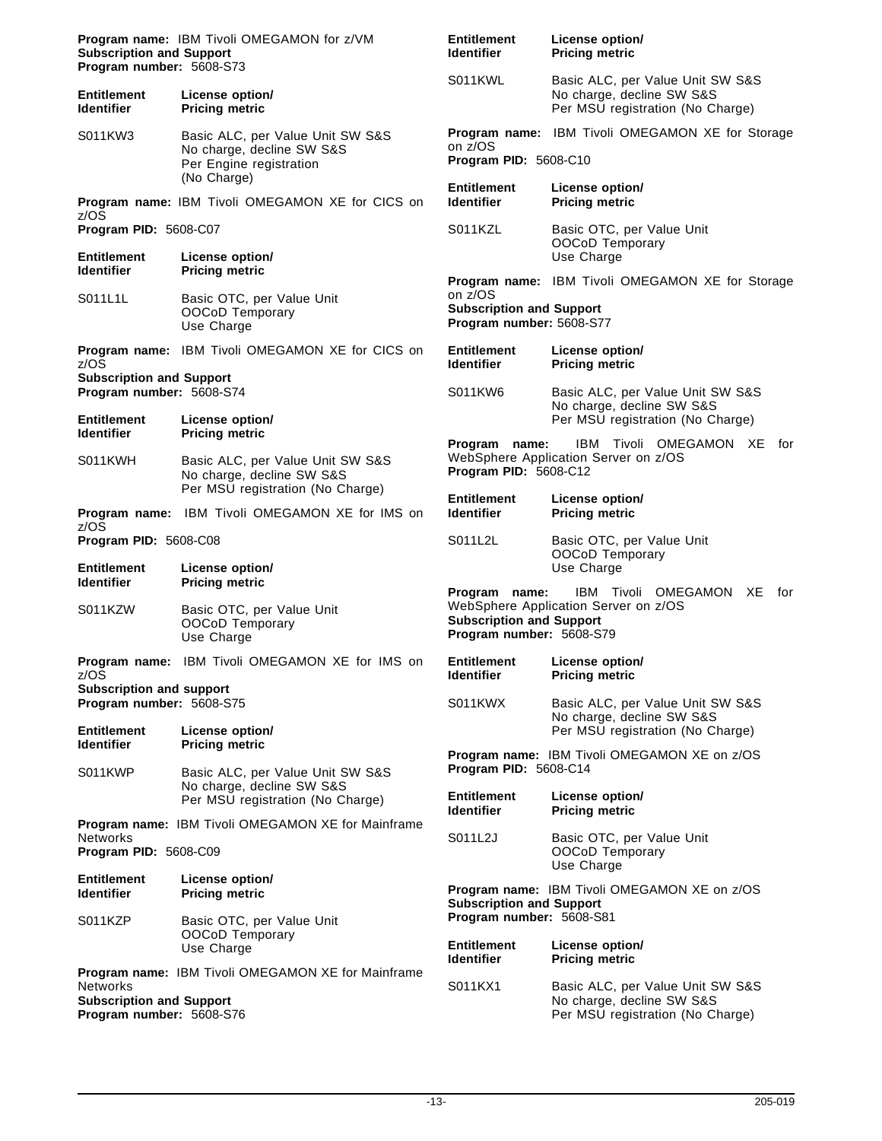| Program name: IBM Tivoli OMEGAMON for z/VM<br><b>Subscription and Support</b><br>Program number: 5608-S73 |                                                                                          | <b>Entitlement</b><br>License option/<br><b>Identifier</b><br><b>Pricing metric</b>                                                                          |                                                                                                   |
|-----------------------------------------------------------------------------------------------------------|------------------------------------------------------------------------------------------|--------------------------------------------------------------------------------------------------------------------------------------------------------------|---------------------------------------------------------------------------------------------------|
| <b>Entitlement</b><br><b>Identifier</b>                                                                   | License option/<br><b>Pricing metric</b>                                                 | S011KWL                                                                                                                                                      | Basic ALC, per Value Unit SW S&S<br>No charge, decline SW S&S<br>Per MSU registration (No Charge) |
| S011KW3                                                                                                   | Basic ALC, per Value Unit SW S&S<br>No charge, decline SW S&S<br>Per Engine registration | on z/OS<br><b>Program PID: 5608-C10</b>                                                                                                                      | <b>Program name: IBM Tivoli OMEGAMON XE for Storage</b>                                           |
|                                                                                                           | (No Charge)<br><b>Program name: IBM Tivoli OMEGAMON XE for CICS on</b>                   | <b>Entitlement</b><br><b>Identifier</b>                                                                                                                      | License option/<br><b>Pricing metric</b>                                                          |
| z/OS<br>Program PID: 5608-C07<br><b>Entitlement</b>                                                       | License option/                                                                          | S011KZL                                                                                                                                                      | Basic OTC, per Value Unit<br>OOCoD Temporary<br>Use Charge                                        |
| <b>Identifier</b>                                                                                         | <b>Pricing metric</b>                                                                    |                                                                                                                                                              | <b>Program name:</b> IBM Tivoli OMEGAMON XE for Storage                                           |
| S011L1L                                                                                                   | Basic OTC, per Value Unit<br>OOCoD Temporary<br>Use Charge                               | on z/OS<br><b>Subscription and Support</b><br>Program number: 5608-S77                                                                                       |                                                                                                   |
| z/OS                                                                                                      | Program name: IBM Tivoli OMEGAMON XE for CICS on                                         | <b>Entitlement</b><br><b>Identifier</b>                                                                                                                      | License option/<br><b>Pricing metric</b>                                                          |
| <b>Subscription and Support</b><br>Program number: 5608-S74<br><b>Entitlement</b>                         | License option/                                                                          | S011KW6                                                                                                                                                      | Basic ALC, per Value Unit SW S&S<br>No charge, decline SW S&S<br>Per MSU registration (No Charge) |
| <b>Identifier</b><br>S011KWH                                                                              | <b>Pricing metric</b><br>Basic ALC, per Value Unit SW S&S<br>No charge, decline SW S&S   | Program name:<br>Program PID: 5608-C12                                                                                                                       | IBM<br>Tivoli OMEGAMON XE for<br>WebSphere Application Server on z/OS                             |
|                                                                                                           | Per MSU registration (No Charge)<br>Program name: IBM Tivoli OMEGAMON XE for IMS on      | <b>Entitlement</b><br><b>Identifier</b>                                                                                                                      | License option/<br><b>Pricing metric</b>                                                          |
| z/OS<br>Program PID: 5608-C08                                                                             |                                                                                          | S011L2L                                                                                                                                                      | Basic OTC, per Value Unit<br>OOCoD Temporary                                                      |
| <b>Entitlement</b><br><b>Identifier</b>                                                                   | License option/<br><b>Pricing metric</b>                                                 | Use Charge<br>IBM Tivoli OMEGAMON XE<br>Program name:<br>WebSphere Application Server on z/OS<br><b>Subscription and Support</b><br>Program number: 5608-S79 |                                                                                                   |
| S011KZW                                                                                                   | Basic OTC, per Value Unit<br>OOCoD Temporary<br>Use Charge                               |                                                                                                                                                              |                                                                                                   |
| z/OS                                                                                                      | <b>Program name:</b> IBM Tivoli OMEGAMON XE for IMS on                                   | Entitlement<br><b>Identifier</b>                                                                                                                             | License option/<br><b>Pricing metric</b>                                                          |
| <b>Subscription and support</b><br>Program number: 5608-S75<br><b>Entitlement</b>                         | License option/                                                                          | S011KWX                                                                                                                                                      | Basic ALC, per Value Unit SW S&S<br>No charge, decline SW S&S                                     |
| <b>Identifier</b><br>S011KWP                                                                              | <b>Pricing metric</b><br>Basic ALC, per Value Unit SW S&S                                | Program PID: 5608-C14                                                                                                                                        | Per MSU registration (No Charge)<br><b>Program name: IBM Tivoli OMEGAMON XE on z/OS</b>           |
|                                                                                                           | No charge, decline SW S&S<br>Per MSU registration (No Charge)                            | <b>Entitlement</b><br><b>Identifier</b>                                                                                                                      | License option/<br><b>Pricing metric</b>                                                          |
| Networks<br>Program PID: 5608-C09                                                                         | Program name: IBM Tivoli OMEGAMON XE for Mainframe                                       | S011L2J                                                                                                                                                      | Basic OTC, per Value Unit<br>OOCoD Temporary                                                      |
| <b>Entitlement</b><br><b>Identifier</b>                                                                   | License option/<br><b>Pricing metric</b>                                                 | <b>Subscription and Support</b>                                                                                                                              | Use Charge<br>Program name: IBM Tivoli OMEGAMON XE on z/OS                                        |
| S011KZP                                                                                                   | Basic OTC, per Value Unit<br>OOCoD Temporary<br>Use Charge                               | Program number: 5608-S81<br><b>Entitlement</b>                                                                                                               | License option/                                                                                   |
|                                                                                                           | <b>Program name: IBM Tivoli OMEGAMON XE for Mainframe</b>                                | <b>Identifier</b>                                                                                                                                            | <b>Pricing metric</b>                                                                             |
| Networks<br><b>Subscription and Support</b><br>Program number: 5608-S76                                   |                                                                                          | S011KX1                                                                                                                                                      | Basic ALC, per Value Unit SW S&S<br>No charge, decline SW S&S<br>Per MSU registration (No Charge) |